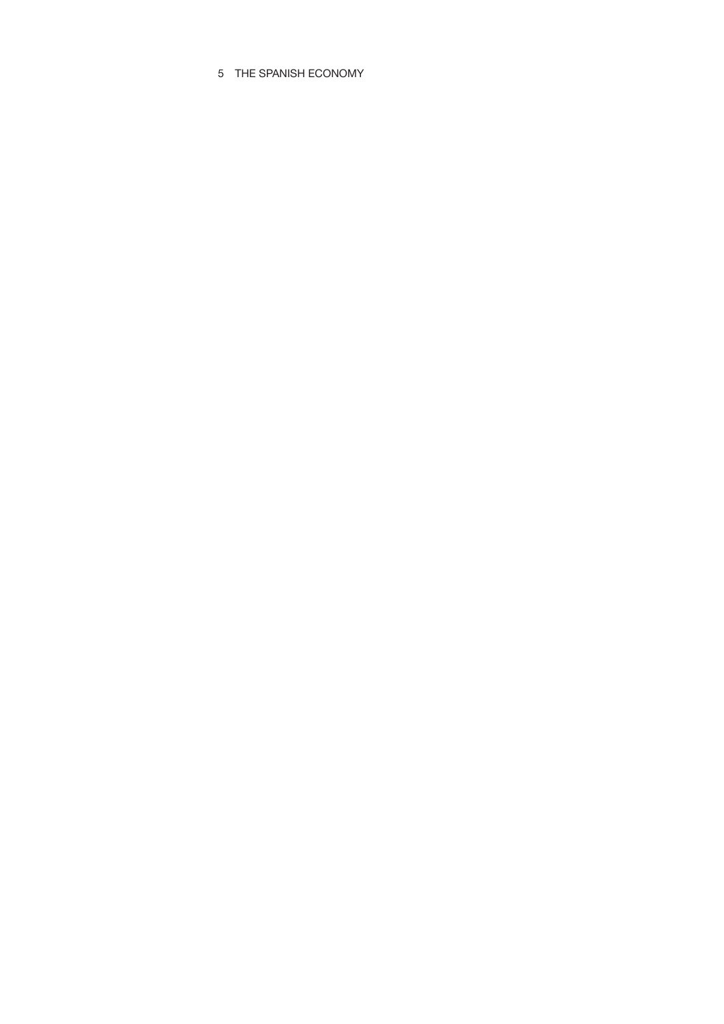# 5 THE SPANISH ECONOMY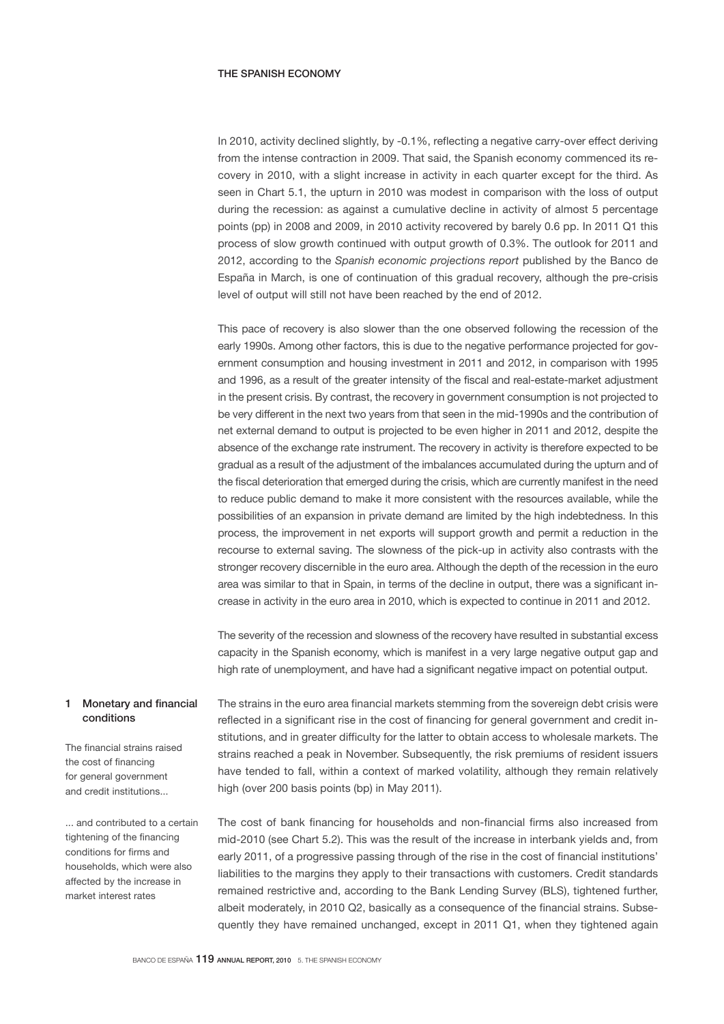# THE SPANISH ECONOMY

In 2010, activity declined slightly, by -0.1%, reflecting a negative carry-over effect deriving from the intense contraction in 2009. That said, the Spanish economy commenced its recovery in 2010, with a slight increase in activity in each quarter except for the third. As seen in Chart 5.1, the upturn in 2010 was modest in comparison with the loss of output during the recession: as against a cumulative decline in activity of almost 5 percentage points (pp) in 2008 and 2009, in 2010 activity recovered by barely 0.6 pp. In 2011 Q1 this process of slow growth continued with output growth of 0.3%. The outlook for 2011 and 2012, according to the *Spanish economic projections report* published by the Banco de España in March, is one of continuation of this gradual recovery, although the pre-crisis level of output will still not have been reached by the end of 2012.

This pace of recovery is also slower than the one observed following the recession of the early 1990s. Among other factors, this is due to the negative performance projected for government consumption and housing investment in 2011 and 2012, in comparison with 1995 and 1996, as a result of the greater intensity of the fiscal and real-estate-market adjustment in the present crisis. By contrast, the recovery in government consumption is not projected to be very different in the next two years from that seen in the mid-1990s and the contribution of net external demand to output is projected to be even higher in 2011 and 2012, despite the absence of the exchange rate instrument. The recovery in activity is therefore expected to be gradual as a result of the adjustment of the imbalances accumulated during the upturn and of the fiscal deterioration that emerged during the crisis, which are currently manifest in the need to reduce public demand to make it more consistent with the resources available, while the possibilities of an expansion in private demand are limited by the high indebtedness. In this process, the improvement in net exports will support growth and permit a reduction in the recourse to external saving. The slowness of the pick-up in activity also contrasts with the stronger recovery discernible in the euro area. Although the depth of the recession in the euro area was similar to that in Spain, in terms of the decline in output, there was a significant increase in activity in the euro area in 2010, which is expected to continue in 2011 and 2012.

The severity of the recession and slowness of the recovery have resulted in substantial excess capacity in the Spanish economy, which is manifest in a very large negative output gap and high rate of unemployment, and have had a significant negative impact on potential output.

# 1 Monetary and financial conditions

The financial strains raised the cost of financing for general government and credit institutions...

and contributed to a certain tightening of the financing conditions for firms and households, which were also affected by the increase in market interest rates

The strains in the euro area financial markets stemming from the sovereign debt crisis were reflected in a significant rise in the cost of financing for general government and credit institutions, and in greater difficulty for the latter to obtain access to wholesale markets. The strains reached a peak in November. Subsequently, the risk premiums of resident issuers have tended to fall, within a context of marked volatility, although they remain relatively high (over 200 basis points (bp) in May 2011).

The cost of bank financing for households and non-financial firms also increased from mid-2010 (see Chart 5.2). This was the result of the increase in interbank yields and, from early 2011, of a progressive passing through of the rise in the cost of financial institutions' liabilities to the margins they apply to their transactions with customers. Credit standards remained restrictive and, according to the Bank Lending Survey (BLS), tightened further, albeit moderately, in 2010 Q2, basically as a consequence of the financial strains. Subsequently they have remained unchanged, except in 2011 Q1, when they tightened again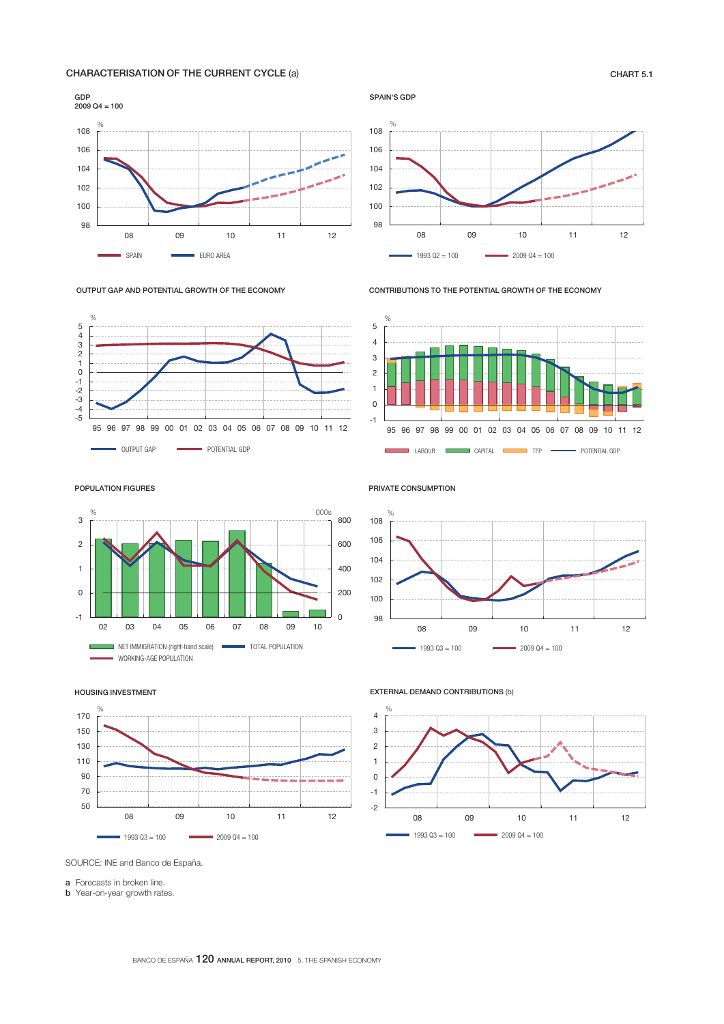# CHARACTERISATION OF THE CURRENT CYCLE (a) CHART 5.1







SPAIN'S GDP



CONTRIBUTIONS TO THE POTENTIAL GROWTH OF THE ECONOMY



POPULATION FIGURES



PRIVATE CONSUMPTION



HOUSING INVESTMENT



EXTERNAL DEMAND CONTRIBUTIONS (b)



SOURCE: INE and Banco de España.

a Forecasts in broken line.

**b** Year-on-year growth rates.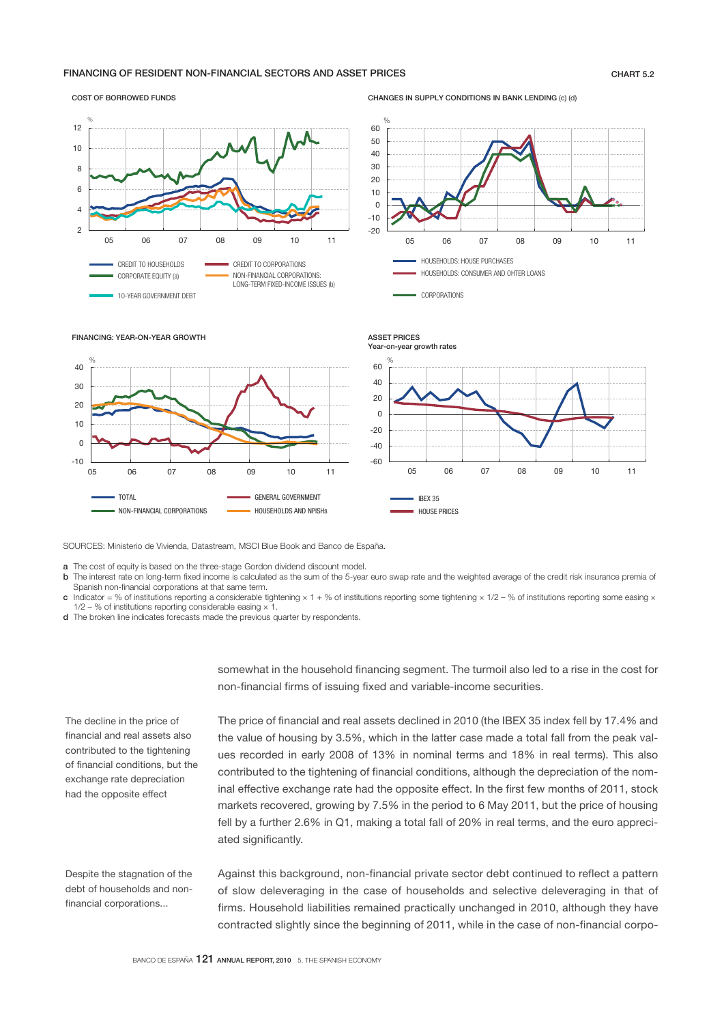# FINANCING OF RESIDENT NON-FINANCIAL SECTORS AND ASSET PRICES **CHART 5.2** CHART 5.2

#### COST OF BORROWED FUNDS



CHANGES IN SUPPLY CONDITIONS IN BANK LENDING (c) (d)







SOURCES: Ministerio de Vivienda, Datastream, MSCI Blue Book and Banco de España.

**a** The cost of equity is based on the three-stage Gordon dividend discount model.<br>**b** The interest rate on long-term fixed income is calculated as the sum of the 5-year

- The interest rate on long-term fixed income is calculated as the sum of the 5-year euro swap rate and the weighted average of the credit risk insurance premia of Spanish non-financial corporations at that same term.
- Indicator = % of institutions reporting a considerable tightening × 1 + % of institutions reporting some tightening × 1/2 % of institutions reporting some easing ×  $1/2 - %$  of institutions reporting considerable easing  $\times$  1.
- d The broken line indicates forecasts made the previous quarter by respondents.

The decline in the price of financial and real assets also contributed to the tightening of financial conditions, but the exchange rate depreciation had the opposite effect

Despite the stagnation of the debt of households and nonfinancial corporations...

somewhat in the household financing segment. The turmoil also led to a rise in the cost for non-financial firms of issuing fixed and variable-income securities.

The price of financial and real assets declined in 2010 (the IBEX 35 index fell by 17.4% and the value of housing by 3.5%, which in the latter case made a total fall from the peak values recorded in early 2008 of 13% in nominal terms and 18% in real terms). This also contributed to the tightening of financial conditions, although the depreciation of the nominal effective exchange rate had the opposite effect. In the first few months of 2011, stock markets recovered, growing by 7.5% in the period to 6 May 2011, but the price of housing fell by a further 2.6% in Q1, making a total fall of 20% in real terms, and the euro appreciated significantly.

Against this background, non-financial private sector debt continued to reflect a pattern of slow deleveraging in the case of households and selective deleveraging in that of firms. Household liabilities remained practically unchanged in 2010, although they have contracted slightly since the beginning of 2011, while in the case of non-financial corpo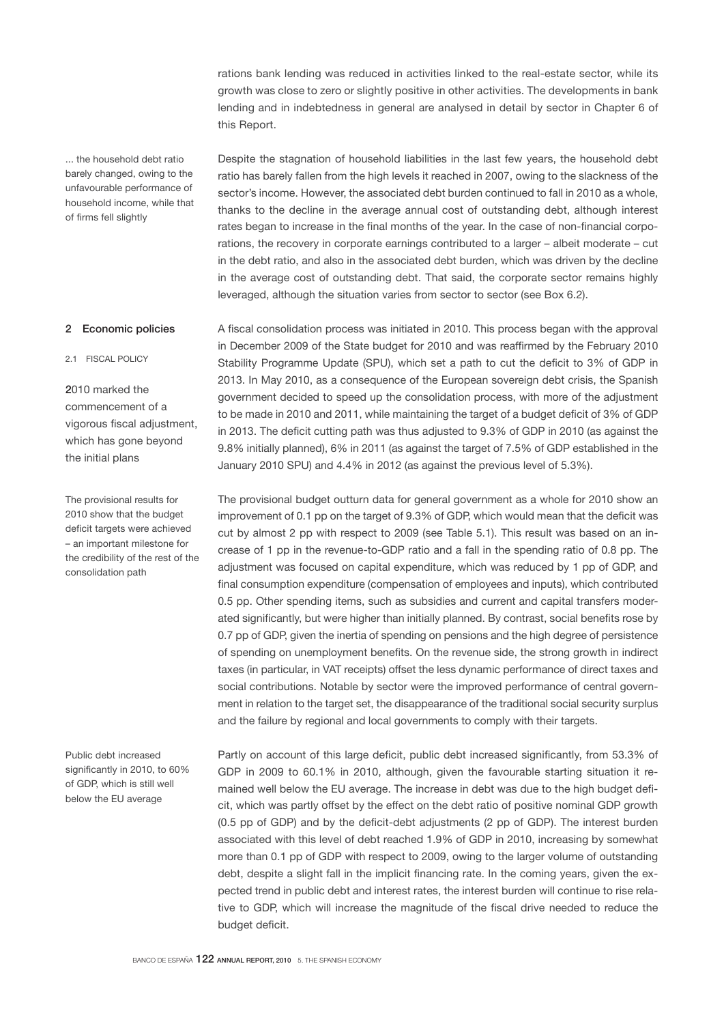rations bank lending was reduced in activities linked to the real-estate sector, while its growth was close to zero or slightly positive in other activities. The developments in bank lending and in indebtedness in general are analysed in detail by sector in Chapter 6 of this Report.

Despite the stagnation of household liabilities in the last few years, the household debt ratio has barely fallen from the high levels it reached in 2007, owing to the slackness of the sector's income. However, the associated debt burden continued to fall in 2010 as a whole, thanks to the decline in the average annual cost of outstanding debt, although interest rates began to increase in the final months of the year. In the case of non-financial corporations, the recovery in corporate earnings contributed to a larger – albeit moderate – cut in the debt ratio, and also in the associated debt burden, which was driven by the decline in the average cost of outstanding debt. That said, the corporate sector remains highly

... the household debt ratio barely changed, owing to the unfavourable performance of household income, while that of firms fell slightly

## 2 Economic policies

2.1 FISCAL POLICY

2010 marked the commencement of a vigorous fiscal adjustment, which has gone beyond the initial plans

The provisional results for 2010 show that the budget deficit targets were achieved – an important milestone for the credibility of the rest of the consolidation path

Public debt increased significantly in 2010, to 60% of GDP, which is still well below the EU average

A fiscal consolidation process was initiated in 2010. This process began with the approval in December 2009 of the State budget for 2010 and was reaffirmed by the February 2010 Stability Programme Update (SPU), which set a path to cut the deficit to 3% of GDP in 2013. In May 2010, as a consequence of the European sovereign debt crisis, the Spanish government decided to speed up the consolidation process, with more of the adjustment to be made in 2010 and 2011, while maintaining the target of a budget deficit of 3% of GDP in 2013. The deficit cutting path was thus adjusted to 9.3% of GDP in 2010 (as against the 9.8% initially planned), 6% in 2011 (as against the target of 7.5% of GDP established in the January 2010 SPU) and 4.4% in 2012 (as against the previous level of 5.3%).

leveraged, although the situation varies from sector to sector (see Box 6.2).

The provisional budget outturn data for general government as a whole for 2010 show an improvement of 0.1 pp on the target of 9.3% of GDP, which would mean that the deficit was cut by almost 2 pp with respect to 2009 (see Table 5.1). This result was based on an increase of 1 pp in the revenue-to-GDP ratio and a fall in the spending ratio of 0.8 pp. The adjustment was focused on capital expenditure, which was reduced by 1 pp of GDP, and final consumption expenditure (compensation of employees and inputs), which contributed 0.5 pp. Other spending items, such as subsidies and current and capital transfers moderated significantly, but were higher than initially planned. By contrast, social benefits rose by 0.7 pp of GDP, given the inertia of spending on pensions and the high degree of persistence of spending on unemployment benefits. On the revenue side, the strong growth in indirect taxes (in particular, in VAT receipts) offset the less dynamic performance of direct taxes and social contributions. Notable by sector were the improved performance of central government in relation to the target set, the disappearance of the traditional social security surplus and the failure by regional and local governments to comply with their targets.

Partly on account of this large deficit, public debt increased significantly, from 53.3% of GDP in 2009 to 60.1% in 2010, although, given the favourable starting situation it remained well below the EU average. The increase in debt was due to the high budget deficit, which was partly offset by the effect on the debt ratio of positive nominal GDP growth (0.5 pp of GDP) and by the deficit-debt adjustments (2 pp of GDP). The interest burden associated with this level of debt reached 1.9% of GDP in 2010, increasing by somewhat more than 0.1 pp of GDP with respect to 2009, owing to the larger volume of outstanding debt, despite a slight fall in the implicit financing rate. In the coming years, given the expected trend in public debt and interest rates, the interest burden will continue to rise relative to GDP, which will increase the magnitude of the fiscal drive needed to reduce the budget deficit.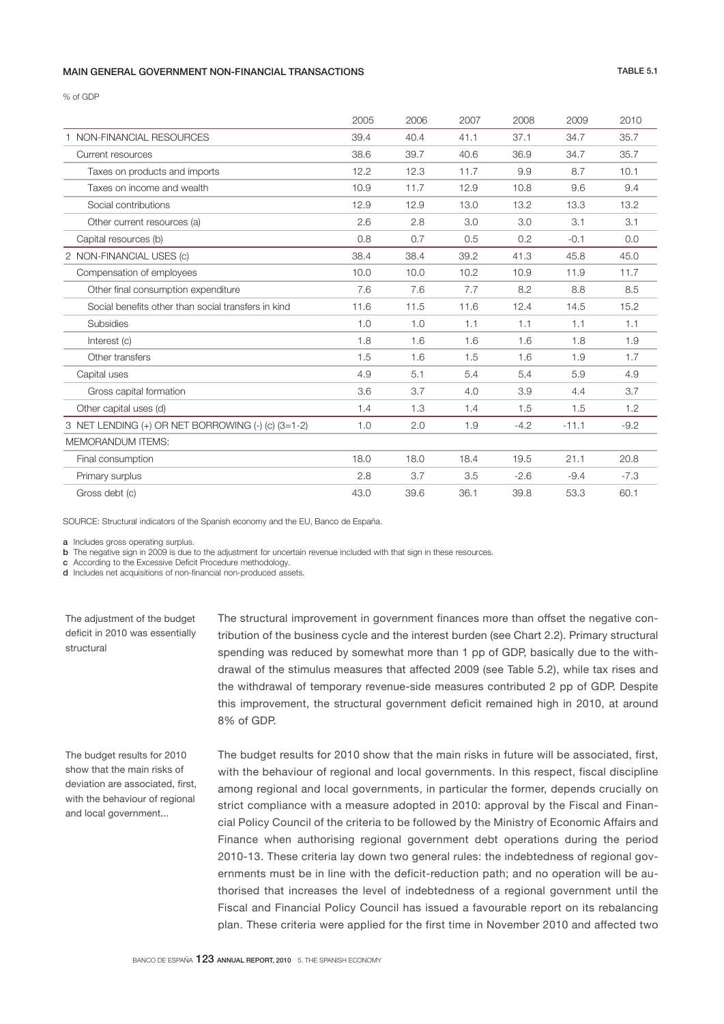### MAIN GENERAL GOVERNMENT NON-FINANCIAL TRANSACTIONS TABLE 5.1

% of GDP

|                                                     | 2005 | 2006 | 2007 | 2008   | 2009    | 2010   |
|-----------------------------------------------------|------|------|------|--------|---------|--------|
| 1 NON-FINANCIAL RESOURCES                           | 39.4 | 40.4 | 41.1 | 37.1   | 34.7    | 35.7   |
| Current resources                                   | 38.6 | 39.7 | 40.6 | 36.9   | 34.7    | 35.7   |
| Taxes on products and imports                       | 12.2 | 12.3 | 11.7 | 9.9    | 8.7     | 10.1   |
| Taxes on income and wealth                          | 10.9 | 11.7 | 12.9 | 10.8   | 9.6     | 9.4    |
| Social contributions                                | 12.9 | 12.9 | 13.0 | 13.2   | 13.3    | 13.2   |
| Other current resources (a)                         | 2.6  | 2.8  | 3.0  | 3.0    | 3.1     | 3.1    |
| Capital resources (b)                               | 0.8  | 0.7  | 0.5  | 0.2    | $-0.1$  | 0.0    |
| 2 NON-FINANCIAL USES (c)                            | 38.4 | 38.4 | 39.2 | 41.3   | 45.8    | 45.0   |
| Compensation of employees                           | 10.0 | 10.0 | 10.2 | 10.9   | 11.9    | 11.7   |
| Other final consumption expenditure                 | 7.6  | 7.6  | 7.7  | 8.2    | 8.8     | 8.5    |
| Social benefits other than social transfers in kind | 11.6 | 11.5 | 11.6 | 12.4   | 14.5    | 15.2   |
| <b>Subsidies</b>                                    | 1.0  | 1.0  | 1.1  | 1.1    | 1.1     | 1.1    |
| Interest (c)                                        | 1.8  | 1.6  | 1.6  | 1.6    | 1.8     | 1.9    |
| Other transfers                                     | 1.5  | 1.6  | 1.5  | 1.6    | 1.9     | 1.7    |
| Capital uses                                        | 4.9  | 5.1  | 5.4  | 5.4    | 5.9     | 4.9    |
| Gross capital formation                             | 3.6  | 3.7  | 4.0  | 3.9    | 4.4     | 3.7    |
| Other capital uses (d)                              | 1.4  | 1.3  | 1.4  | 1.5    | 1.5     | 1.2    |
| 3 NET LENDING (+) OR NET BORROWING (-) (c) (3=1-2)  | 1.0  | 2.0  | 1.9  | $-4.2$ | $-11.1$ | $-9.2$ |
| <b>MEMORANDUM ITEMS:</b>                            |      |      |      |        |         |        |
| Final consumption                                   | 18.0 | 18.0 | 18.4 | 19.5   | 21.1    | 20.8   |
| Primary surplus                                     | 2.8  | 3.7  | 3.5  | $-2.6$ | $-9.4$  | $-7.3$ |
| Gross debt (c)                                      | 43.0 | 39.6 | 36.1 | 39.8   | 53.3    | 60.1   |

SOURCE: Structural indicators of the Spanish economy and the EU, Banco de España.

a Includes gross operating surplus.

The adjustment of the budget deficit in 2010 was essentially

structural

b The negative sign in 2009 is due to the adjustment for uncertain revenue included with that sign in these resources.

c According to the Excessive Deficit Procedure methodology.

d Includes net acquisitions of non-financial non-produced assets.

The structural improvement in government finances more than offset the negative contribution of the business cycle and the interest burden (see Chart 2.2). Primary structural spending was reduced by somewhat more than 1 pp of GDP, basically due to the withdrawal of the stimulus measures that affected 2009 (see Table 5.2), while tax rises and the withdrawal of temporary revenue-side measures contributed 2 pp of GDP. Despite this improvement, the structural government deficit remained high in 2010, at around 8% of GDP.

The budget results for 2010 show that the main risks of deviation are associated, first, with the behaviour of regional and local government...

The budget results for 2010 show that the main risks in future will be associated, first, with the behaviour of regional and local governments. In this respect, fiscal discipline among regional and local governments, in particular the former, depends crucially on strict compliance with a measure adopted in 2010: approval by the Fiscal and Financial Policy Council of the criteria to be followed by the Ministry of Economic Affairs and Finance when authorising regional government debt operations during the period 2010-13. These criteria lay down two general rules: the indebtedness of regional governments must be in line with the deficit-reduction path; and no operation will be authorised that increases the level of indebtedness of a regional government until the Fiscal and Financial Policy Council has issued a favourable report on its rebalancing plan. These criteria were applied for the first time in November 2010 and affected two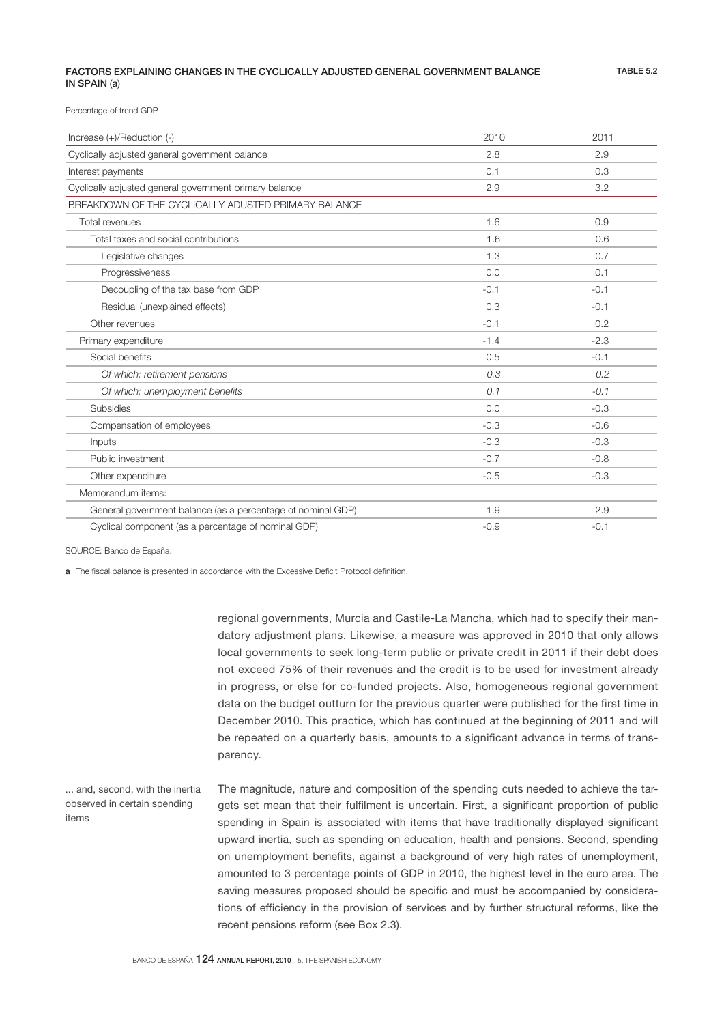# FACTORS EXPLAINING CHANGES IN THE CYCLICALLY ADJUSTED GENERAL GOVERNMENT BALANCE IN SPAIN (a)

TABLE 5.2

Percentage of trend GDP

| Increase (+)/Reduction (-)                                  | 2010   | 2011   |
|-------------------------------------------------------------|--------|--------|
| Cyclically adjusted general government balance              | 2.8    | 2.9    |
| Interest payments                                           | 0.1    | 0.3    |
| Cyclically adjusted general government primary balance      | 2.9    | 3.2    |
| BREAKDOWN OF THE CYCLICALLY ADUSTED PRIMARY BALANCE         |        |        |
| Total revenues                                              | 1.6    | 0.9    |
| Total taxes and social contributions                        | 1.6    | 0.6    |
| Legislative changes                                         | 1.3    | 0.7    |
| Progressiveness                                             | 0.0    | 0.1    |
| Decoupling of the tax base from GDP                         | $-0.1$ | $-0.1$ |
| Residual (unexplained effects)                              | 0.3    | $-0.1$ |
| Other revenues                                              | $-0.1$ | 0.2    |
| Primary expenditure                                         | $-1.4$ | $-2.3$ |
| Social benefits                                             | 0.5    | $-0.1$ |
| Of which: retirement pensions                               | 0.3    | 0.2    |
| Of which: unemployment benefits                             | 0.1    | $-0.1$ |
| <b>Subsidies</b>                                            | 0.0    | $-0.3$ |
| Compensation of employees                                   | $-0.3$ | $-0.6$ |
| Inputs                                                      | $-0.3$ | $-0.3$ |
| Public investment                                           | $-0.7$ | $-0.8$ |
| Other expenditure                                           | $-0.5$ | $-0.3$ |
| Memorandum items:                                           |        |        |
| General government balance (as a percentage of nominal GDP) | 1.9    | 2.9    |
| Cyclical component (as a percentage of nominal GDP)         | $-0.9$ | $-0.1$ |

SOURCE: Banco de España.

a The fiscal balance is presented in accordance with the Excessive Deficit Protocol definition.

regional governments, Murcia and Castile-La Mancha, which had to specify their mandatory adjustment plans. Likewise, a measure was approved in 2010 that only allows local governments to seek long-term public or private credit in 2011 if their debt does not exceed 75% of their revenues and the credit is to be used for investment already in progress, or else for co-funded projects. Also, homogeneous regional government data on the budget outturn for the previous quarter were published for the first time in December 2010. This practice, which has continued at the beginning of 2011 and will be repeated on a quarterly basis, amounts to a significant advance in terms of transparency.

The magnitude, nature and composition of the spending cuts needed to achieve the targets set mean that their fulfilment is uncertain. First, a significant proportion of public spending in Spain is associated with items that have traditionally displayed significant upward inertia, such as spending on education, health and pensions. Second, spending on unemployment benefits, against a background of very high rates of unemployment, amounted to 3 percentage points of GDP in 2010, the highest level in the euro area. The saving measures proposed should be specific and must be accompanied by considerations of efficiency in the provision of services and by further structural reforms, like the recent pensions reform (see Box 2.3). ... and, second, with the inertia observed in certain spending items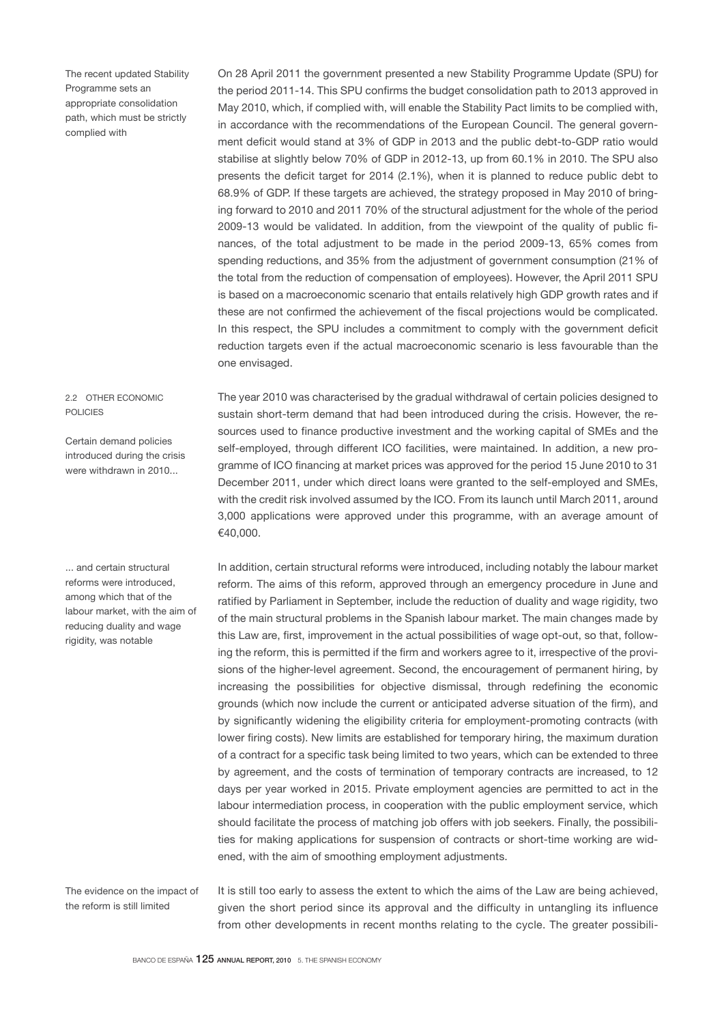The recent updated Stability Programme sets an appropriate consolidation path, which must be strictly complied with

# 2.2 OTHER ECONOMIC POLICIES

Certain demand policies introduced during the crisis were withdrawn in 2010...

... and certain structural reforms were introduced, among which that of the labour market, with the aim of reducing duality and wage rigidity, was notable

the period 2011-14. This SPU confirms the budget consolidation path to 2013 approved in May 2010, which, if complied with, will enable the Stability Pact limits to be complied with, in accordance with the recommendations of the European Council. The general government deficit would stand at 3% of GDP in 2013 and the public debt-to-GDP ratio would stabilise at slightly below 70% of GDP in 2012-13, up from 60.1% in 2010. The SPU also presents the deficit target for 2014 (2.1%), when it is planned to reduce public debt to 68.9% of GDP. If these targets are achieved, the strategy proposed in May 2010 of bringing forward to 2010 and 2011 70% of the structural adjustment for the whole of the period 2009-13 would be validated. In addition, from the viewpoint of the quality of public finances, of the total adjustment to be made in the period 2009-13, 65% comes from spending reductions, and 35% from the adjustment of government consumption (21% of the total from the reduction of compensation of employees). However, the April 2011 SPU is based on a macroeconomic scenario that entails relatively high GDP growth rates and if these are not confirmed the achievement of the fiscal projections would be complicated. In this respect, the SPU includes a commitment to comply with the government deficit reduction targets even if the actual macroeconomic scenario is less favourable than the one envisaged.

On 28 April 2011 the government presented a new Stability Programme Update (SPU) for

The year 2010 was characterised by the gradual withdrawal of certain policies designed to sustain short-term demand that had been introduced during the crisis. However, the resources used to finance productive investment and the working capital of SMEs and the self-employed, through different ICO facilities, were maintained. In addition, a new programme of ICO financing at market prices was approved for the period 15 June 2010 to 31 December 2011, under which direct loans were granted to the self-employed and SMEs, with the credit risk involved assumed by the ICO. From its launch until March 2011, around 3,000 applications were approved under this programme, with an average amount of €40,000.

In addition, certain structural reforms were introduced, including notably the labour market reform. The aims of this reform, approved through an emergency procedure in June and ratified by Parliament in September, include the reduction of duality and wage rigidity, two of the main structural problems in the Spanish labour market. The main changes made by this Law are, first, improvement in the actual possibilities of wage opt-out, so that, following the reform, this is permitted if the firm and workers agree to it, irrespective of the provisions of the higher-level agreement. Second, the encouragement of permanent hiring, by increasing the possibilities for objective dismissal, through redefining the economic grounds (which now include the current or anticipated adverse situation of the firm), and by significantly widening the eligibility criteria for employment-promoting contracts (with lower firing costs). New limits are established for temporary hiring, the maximum duration of a contract for a specific task being limited to two years, which can be extended to three by agreement, and the costs of termination of temporary contracts are increased, to 12 days per year worked in 2015. Private employment agencies are permitted to act in the labour intermediation process, in cooperation with the public employment service, which should facilitate the process of matching job offers with job seekers. Finally, the possibilities for making applications for suspension of contracts or short-time working are widened, with the aim of smoothing employment adjustments.

The evidence on the impact of the reform is still limited

It is still too early to assess the extent to which the aims of the Law are being achieved, given the short period since its approval and the difficulty in untangling its influence from other developments in recent months relating to the cycle. The greater possibili-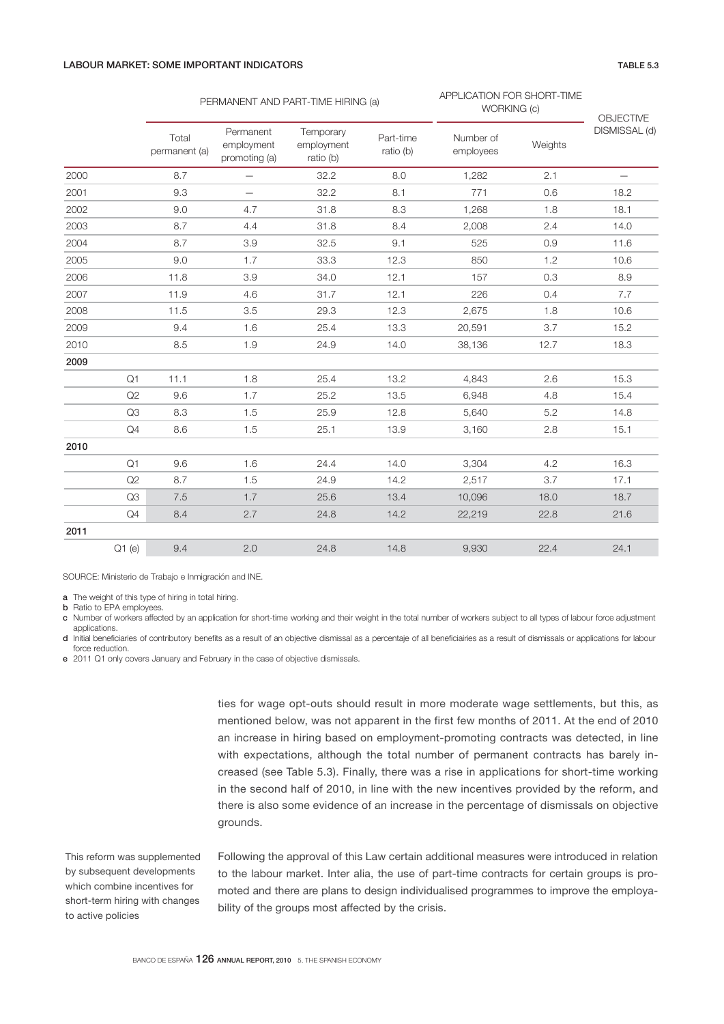# LABOUR MARKET: SOME IMPORTANT INDICATORS TABLE 5.3

|      |       |                        | PERMANENT AND PART-TIME HIRING (a)       |                                      |                        | APPLICATION FOR SHORT-TIME<br>WORKING (c) | OBJECTIVE |                          |  |
|------|-------|------------------------|------------------------------------------|--------------------------------------|------------------------|-------------------------------------------|-----------|--------------------------|--|
|      |       | Total<br>permanent (a) | Permanent<br>employment<br>promoting (a) | Temporary<br>employment<br>ratio (b) | Part-time<br>ratio (b) | Number of<br>employees                    | Weights   | DISMISSAL (d)            |  |
| 2000 |       | 8.7                    | $\overline{\phantom{0}}$                 | 32.2                                 | 8.0                    | 1,282                                     | 2.1       | $\overline{\phantom{0}}$ |  |
| 2001 |       | 9.3                    | $\overline{\phantom{0}}$                 | 32.2                                 | 8.1                    | 771                                       | 0.6       | 18.2                     |  |
| 2002 |       | 9.0                    | 4.7                                      | 31.8                                 | 8.3                    | 1,268                                     | 1.8       | 18.1                     |  |
| 2003 |       | 8.7                    | 4.4                                      | 31.8                                 | 8.4                    | 2,008                                     | 2.4       | 14.0                     |  |
| 2004 |       | 8.7                    | 3.9                                      | 32.5                                 | 9.1                    | 525                                       | 0.9       | 11.6                     |  |
| 2005 |       | 9.0                    | 1.7                                      | 33.3                                 | 12.3                   | 850                                       | 1.2       | 10.6                     |  |
| 2006 |       | 11.8                   | 3.9                                      | 34.0                                 | 12.1                   | 157                                       | 0.3       | 8.9                      |  |
| 2007 |       | 11.9                   | 4.6                                      | 31.7                                 | 12.1                   | 226                                       | 0.4       | 7.7                      |  |
| 2008 |       | 11.5                   | 3.5                                      | 29.3                                 | 12.3                   | 2,675                                     | 1.8       | 10.6                     |  |
| 2009 |       | 9.4                    | 1.6                                      | 25.4                                 | 13.3                   | 20,591                                    | 3.7       | 15.2                     |  |
| 2010 |       | 8.5                    | 1.9                                      | 24.9                                 | 14.0                   | 38,136                                    | 12.7      | 18.3                     |  |
| 2009 |       |                        |                                          |                                      |                        |                                           |           |                          |  |
|      | Q1    | 11.1                   | 1.8                                      | 25.4                                 | 13.2                   | 4,843                                     | 2.6       | 15.3                     |  |
|      | Q2    | 9.6                    | 1.7                                      | 25.2                                 | 13.5                   | 6,948                                     | 4.8       | 15.4                     |  |
|      | Q3    | 8.3                    | 1.5                                      | 25.9                                 | 12.8                   | 5,640                                     | 5.2       | 14.8                     |  |
|      | Q4    | 8.6                    | 1.5                                      | 25.1                                 | 13.9                   | 3,160                                     | 2.8       | 15.1                     |  |
| 2010 |       |                        |                                          |                                      |                        |                                           |           |                          |  |
|      | Q1    | 9.6                    | 1.6                                      | 24.4                                 | 14.0                   | 3,304                                     | 4.2       | 16.3                     |  |
|      | Q2    | 8.7                    | 1.5                                      | 24.9                                 | 14.2                   | 2,517                                     | 3.7       | 17.1                     |  |
|      | Q3    | 7.5                    | 1.7                                      | 25.6                                 | 13.4                   | 10,096                                    | 18.0      | 18.7                     |  |
|      | Q4    | 8.4                    | 2.7                                      | 24.8                                 | 14.2                   | 22,219                                    | 22.8      | 21.6                     |  |
| 2011 |       |                        |                                          |                                      |                        |                                           |           |                          |  |
|      | Q1(e) | 9.4                    | 2.0                                      | 24.8                                 | 14.8                   | 9,930                                     | 22.4      | 24.1                     |  |

SOURCE: Ministerio de Trabajo e Inmigración and INE.

a The weight of this type of hiring in total hiring.

**b** Ratio to EPA employees.

c Number of workers affected by an application for short-time working and their weight in the total number of workers subject to all types of labour force adjustment applications.

- d Initial benejciaries of contributory benejts as a result of an objective dismissal as a percentaje of all benejciairies as a result of dismissals or applications for labour force reduction.
- e 2011 Q1 only covers January and February in the case of objective dismissals.

ties for wage opt-outs should result in more moderate wage settlements, but this, as mentioned below, was not apparent in the first few months of 2011. At the end of 2010 an increase in hiring based on employment-promoting contracts was detected, in line with expectations, although the total number of permanent contracts has barely increased (see Table 5.3). Finally, there was a rise in applications for short-time working in the second half of 2010, in line with the new incentives provided by the reform, and there is also some evidence of an increase in the percentage of dismissals on objective grounds.

This reform was supplemented by subsequent developments which combine incentives for short-term hiring with changes to active policies

Following the approval of this Law certain additional measures were introduced in relation to the labour market. Inter alia, the use of part-time contracts for certain groups is promoted and there are plans to design individualised programmes to improve the employability of the groups most affected by the crisis.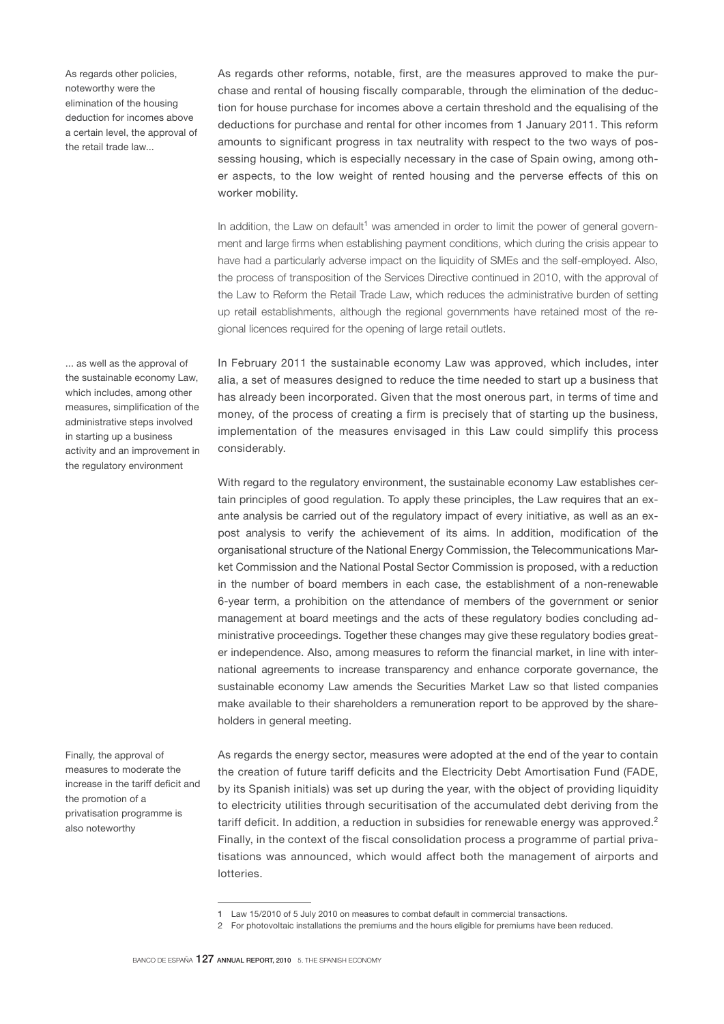As regards other policies, noteworthy were the elimination of the housing deduction for incomes above a certain level, the approval of the retail trade law...

As regards other reforms, notable, first, are the measures approved to make the purchase and rental of housing fiscally comparable, through the elimination of the deduction for house purchase for incomes above a certain threshold and the equalising of the deductions for purchase and rental for other incomes from 1 January 2011. This reform amounts to significant progress in tax neutrality with respect to the two ways of possessing housing, which is especially necessary in the case of Spain owing, among other aspects, to the low weight of rented housing and the perverse effects of this on worker mobility.

In addition, the Law on default<sup>1</sup> was amended in order to limit the power of general government and large firms when establishing payment conditions, which during the crisis appear to have had a particularly adverse impact on the liquidity of SMEs and the self-employed. Also, the process of transposition of the Services Directive continued in 2010, with the approval of the Law to Reform the Retail Trade Law, which reduces the administrative burden of setting up retail establishments, although the regional governments have retained most of the regional licences required for the opening of large retail outlets.

In February 2011 the sustainable economy Law was approved, which includes, inter alia, a set of measures designed to reduce the time needed to start up a business that has already been incorporated. Given that the most onerous part, in terms of time and money, of the process of creating a firm is precisely that of starting up the business, implementation of the measures envisaged in this Law could simplify this process considerably.

With regard to the regulatory environment, the sustainable economy Law establishes certain principles of good regulation. To apply these principles, the Law requires that an exante analysis be carried out of the regulatory impact of every initiative, as well as an expost analysis to verify the achievement of its aims. In addition, modification of the organisational structure of the National Energy Commission, the Telecommunications Market Commission and the National Postal Sector Commission is proposed, with a reduction in the number of board members in each case, the establishment of a non-renewable 6-year term, a prohibition on the attendance of members of the government or senior management at board meetings and the acts of these regulatory bodies concluding administrative proceedings. Together these changes may give these regulatory bodies greater independence. Also, among measures to reform the financial market, in line with international agreements to increase transparency and enhance corporate governance, the sustainable economy Law amends the Securities Market Law so that listed companies make available to their shareholders a remuneration report to be approved by the shareholders in general meeting.

As regards the energy sector, measures were adopted at the end of the year to contain the creation of future tariff deficits and the Electricity Debt Amortisation Fund (FADE, by its Spanish initials) was set up during the year, with the object of providing liquidity to electricity utilities through securitisation of the accumulated debt deriving from the tariff deficit. In addition, a reduction in subsidies for renewable energy was approved. $2$ Finally, in the context of the fiscal consolidation process a programme of partial privatisations was announced, which would affect both the management of airports and lotteries.

... as well as the approval of the sustainable economy Law, which includes, among other measures, simplification of the administrative steps involved in starting up a business activity and an improvement in the regulatory environment

Finally, the approval of measures to moderate the increase in the tariff deficit and the promotion of a privatisation programme is also noteworthy

<sup>1</sup> Law 15/2010 of 5 July 2010 on measures to combat default in commercial transactions.

<sup>2</sup> For photovoltaic installations the premiums and the hours eligible for premiums have been reduced.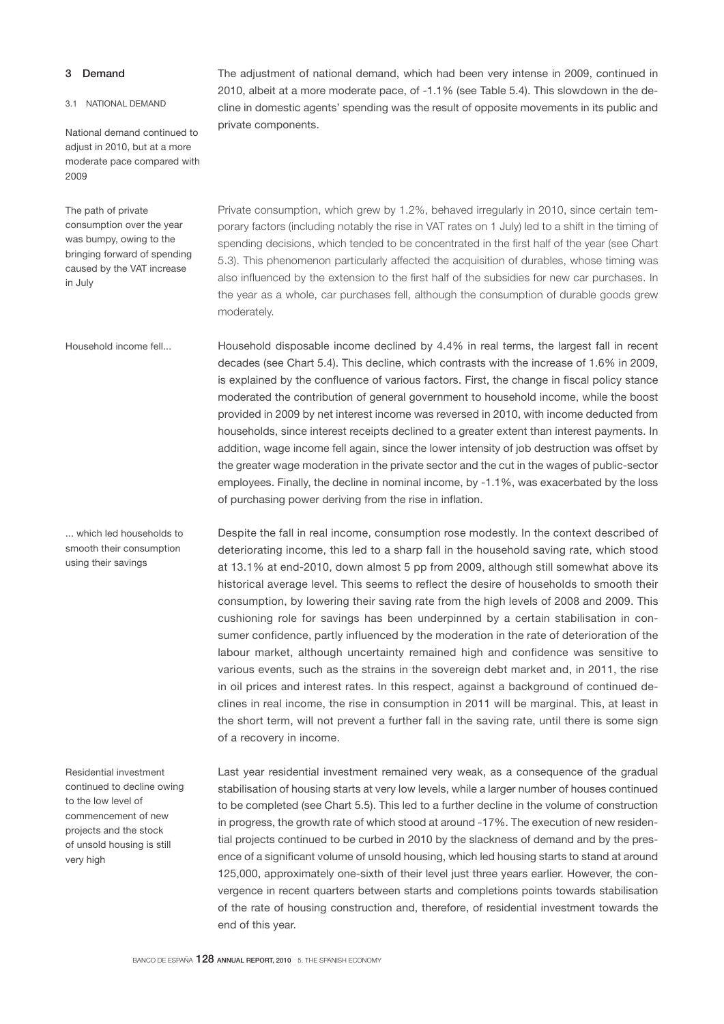# 3 Demand

#### 3.1 NATIONAL DEMAND

National demand continued to adjust in 2010, but at a more moderate pace compared with 2009

The path of private consumption over the year was bumpy, owing to the bringing forward of spending caused by the VAT increase in July

Household income fell...

... which led households to smooth their consumption using their savings

Residential investment continued to decline owing to the low level of commencement of new projects and the stock of unsold housing is still very high

The adjustment of national demand, which had been very intense in 2009, continued in 2010, albeit at a more moderate pace, of -1.1% (see Table 5.4). This slowdown in the decline in domestic agents' spending was the result of opposite movements in its public and private components.

Private consumption, which grew by 1.2%, behaved irregularly in 2010, since certain temporary factors (including notably the rise in VAT rates on 1 July) led to a shift in the timing of spending decisions, which tended to be concentrated in the first half of the year (see Chart 5.3). This phenomenon particularly affected the acquisition of durables, whose timing was also influenced by the extension to the first half of the subsidies for new car purchases. In the year as a whole, car purchases fell, although the consumption of durable goods grew moderately.

Household disposable income declined by 4.4% in real terms, the largest fall in recent decades (see Chart 5.4). This decline, which contrasts with the increase of 1.6% in 2009, is explained by the confluence of various factors. First, the change in fiscal policy stance moderated the contribution of general government to household income, while the boost provided in 2009 by net interest income was reversed in 2010, with income deducted from households, since interest receipts declined to a greater extent than interest payments. In addition, wage income fell again, since the lower intensity of job destruction was offset by the greater wage moderation in the private sector and the cut in the wages of public-sector employees. Finally, the decline in nominal income, by -1.1%, was exacerbated by the loss of purchasing power deriving from the rise in inflation.

Despite the fall in real income, consumption rose modestly. In the context described of deteriorating income, this led to a sharp fall in the household saving rate, which stood at 13.1% at end-2010, down almost 5 pp from 2009, although still somewhat above its historical average level. This seems to reflect the desire of households to smooth their consumption, by lowering their saving rate from the high levels of 2008 and 2009. This cushioning role for savings has been underpinned by a certain stabilisation in consumer confidence, partly influenced by the moderation in the rate of deterioration of the labour market, although uncertainty remained high and confidence was sensitive to various events, such as the strains in the sovereign debt market and, in 2011, the rise in oil prices and interest rates. In this respect, against a background of continued declines in real income, the rise in consumption in 2011 will be marginal. This, at least in the short term, will not prevent a further fall in the saving rate, until there is some sign of a recovery in income.

Last year residential investment remained very weak, as a consequence of the gradual stabilisation of housing starts at very low levels, while a larger number of houses continued to be completed (see Chart 5.5). This led to a further decline in the volume of construction in progress, the growth rate of which stood at around -17%. The execution of new residential projects continued to be curbed in 2010 by the slackness of demand and by the presence of a significant volume of unsold housing, which led housing starts to stand at around 125,000, approximately one-sixth of their level just three years earlier. However, the convergence in recent quarters between starts and completions points towards stabilisation of the rate of housing construction and, therefore, of residential investment towards the end of this year.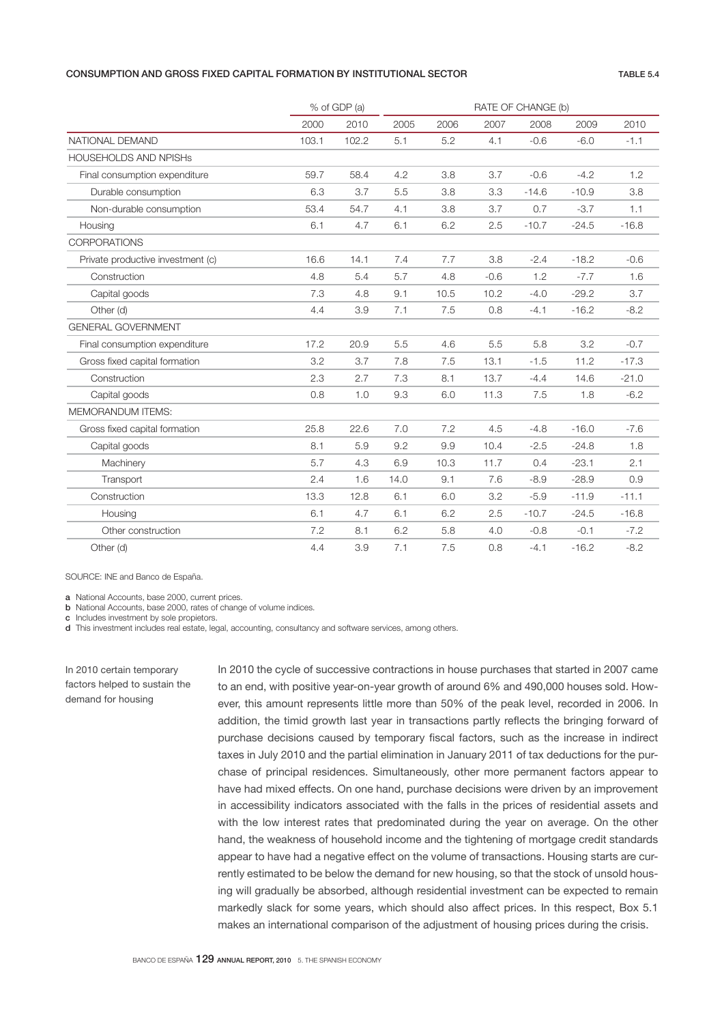# CONSUMPTION AND GROSS FIXED CAPITAL FORMATION BY INSTITUTIONAL SECTOR TABLE 5.4

|                                   |       | % of GDP (a) |      |      | RATE OF CHANGE (b) |         |         |         |  |
|-----------------------------------|-------|--------------|------|------|--------------------|---------|---------|---------|--|
|                                   | 2000  | 2010         | 2005 | 2006 | 2007               | 2008    | 2009    | 2010    |  |
| NATIONAL DEMAND                   | 103.1 | 102.2        | 5.1  | 5.2  | 4.1                | $-0.6$  | $-6.0$  | $-1.1$  |  |
| <b>HOUSEHOLDS AND NPISHS</b>      |       |              |      |      |                    |         |         |         |  |
| Final consumption expenditure     | 59.7  | 58.4         | 4.2  | 3.8  | 3.7                | $-0.6$  | $-4.2$  | 1.2     |  |
| Durable consumption               | 6.3   | 3.7          | 5.5  | 3.8  | 3.3                | $-14.6$ | $-10.9$ | 3.8     |  |
| Non-durable consumption           | 53.4  | 54.7         | 4.1  | 3.8  | 3.7                | 0.7     | $-3.7$  | 1.1     |  |
| Housing                           | 6.1   | 4.7          | 6.1  | 6.2  | 2.5                | $-10.7$ | $-24.5$ | $-16.8$ |  |
| <b>CORPORATIONS</b>               |       |              |      |      |                    |         |         |         |  |
| Private productive investment (c) | 16.6  | 14.1         | 7.4  | 7.7  | 3.8                | $-2.4$  | $-18.2$ | $-0.6$  |  |
| Construction                      | 4.8   | 5.4          | 5.7  | 4.8  | $-0.6$             | 1.2     | $-7.7$  | 1.6     |  |
| Capital goods                     | 7.3   | 4.8          | 9.1  | 10.5 | 10.2               | $-4.0$  | $-29.2$ | 3.7     |  |
| Other (d)                         | 4.4   | 3.9          | 7.1  | 7.5  | 0.8                | $-4.1$  | $-16.2$ | $-8.2$  |  |
| <b>GENERAL GOVERNMENT</b>         |       |              |      |      |                    |         |         |         |  |
| Final consumption expenditure     | 17.2  | 20.9         | 5.5  | 4.6  | 5.5                | 5.8     | 3.2     | $-0.7$  |  |
| Gross fixed capital formation     | 3.2   | 3.7          | 7.8  | 7.5  | 13.1               | $-1.5$  | 11.2    | $-17.3$ |  |
| Construction                      | 2.3   | 2.7          | 7.3  | 8.1  | 13.7               | $-4.4$  | 14.6    | $-21.0$ |  |
| Capital goods                     | 0.8   | 1.0          | 9.3  | 6.0  | 11.3               | 7.5     | 1.8     | $-6.2$  |  |
| <b>MEMORANDUM ITEMS:</b>          |       |              |      |      |                    |         |         |         |  |
| Gross fixed capital formation     | 25.8  | 22.6         | 7.0  | 7.2  | 4.5                | $-4.8$  | $-16.0$ | $-7.6$  |  |
| Capital goods                     | 8.1   | 5.9          | 9.2  | 9.9  | 10.4               | $-2.5$  | $-24.8$ | 1.8     |  |
| Machinery                         | 5.7   | 4.3          | 6.9  | 10.3 | 11.7               | 0.4     | $-23.1$ | 2.1     |  |
| Transport                         | 2.4   | 1.6          | 14.0 | 9.1  | 7.6                | $-8.9$  | $-28.9$ | 0.9     |  |
| Construction                      | 13.3  | 12.8         | 6.1  | 6.0  | 3.2                | $-5.9$  | $-11.9$ | $-11.1$ |  |
| Housing                           | 6.1   | 4.7          | 6.1  | 6.2  | 2.5                | $-10.7$ | $-24.5$ | $-16.8$ |  |
| Other construction                | 7.2   | 8.1          | 6.2  | 5.8  | 4.0                | $-0.8$  | $-0.1$  | $-7.2$  |  |
| Other (d)                         | 4.4   | 3.9          | 7.1  | 7.5  | 0.8                | $-4.1$  | $-16.2$ | $-8.2$  |  |

# SOURCE: INE and Banco de España.

a National Accounts, base 2000, current prices. **b** National Accounts, base 2000, rates of change of volume indices.

c Includes investment by sole propietors.

d This investment includes real estate, legal, accounting, consultancy and software services, among others.

In 2010 certain temporary factors helped to sustain the demand for housing

In 2010 the cycle of successive contractions in house purchases that started in 2007 came to an end, with positive year-on-year growth of around 6% and 490,000 houses sold. However, this amount represents little more than 50% of the peak level, recorded in 2006. In addition, the timid growth last year in transactions partly reflects the bringing forward of purchase decisions caused by temporary fiscal factors, such as the increase in indirect taxes in July 2010 and the partial elimination in January 2011 of tax deductions for the purchase of principal residences. Simultaneously, other more permanent factors appear to have had mixed effects. On one hand, purchase decisions were driven by an improvement in accessibility indicators associated with the falls in the prices of residential assets and with the low interest rates that predominated during the year on average. On the other hand, the weakness of household income and the tightening of mortgage credit standards appear to have had a negative effect on the volume of transactions. Housing starts are currently estimated to be below the demand for new housing, so that the stock of unsold housing will gradually be absorbed, although residential investment can be expected to remain markedly slack for some years, which should also affect prices. In this respect, Box 5.1 makes an international comparison of the adjustment of housing prices during the crisis.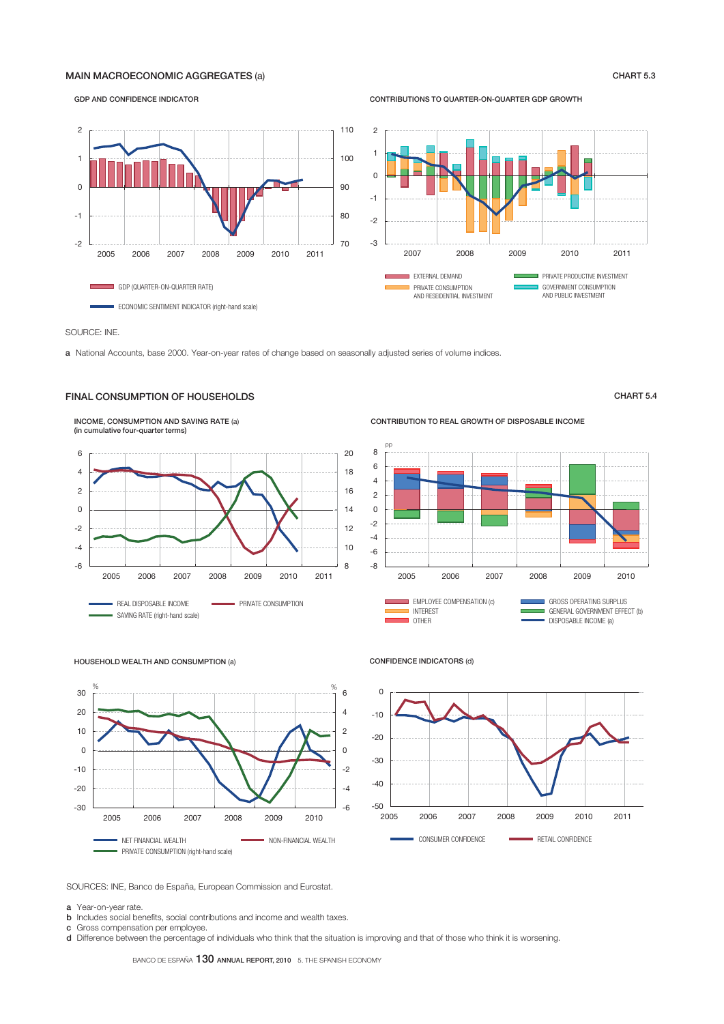# MAIN MACROECONOMIC AGGREGATES (a) CHART 5.3

GDP AND CONFIDENCE INDICATOR

# CONTRIBUTIONS TO QUARTER-ON-QUARTER GDP GROWTH



SOURCE: INE.

a National Accounts, base 2000. Year-on-year rates of change based on seasonally adjusted series of volume indices.

# INCOME, CONSUMPTION AND SAVING RATE (a) FINAL CONSUMPTION OF HOUSEHOLDS **CHART 5.4**



CONTRIBUTION TO REAL GROWTH OF DISPOSABLE INCOME



#### HOUSEHOLD WEALTH AND CONSUMPTION (a)



### CONFIDENCE INDICATORS (d)



SOURCES: INE, Banco de España, European Commission and Eurostat.

a Year-on-year rate.

**b** Includes social benefits, social contributions and income and wealth taxes.

c Gross compensation per employee.

d Difference between the percentage of individuals who think that the situation is improving and that of those who think it is worsening.

BANCO DE ESPAÑA 130 ANNUAL REPORT, 2010 5. THE SPANISH ECONOMY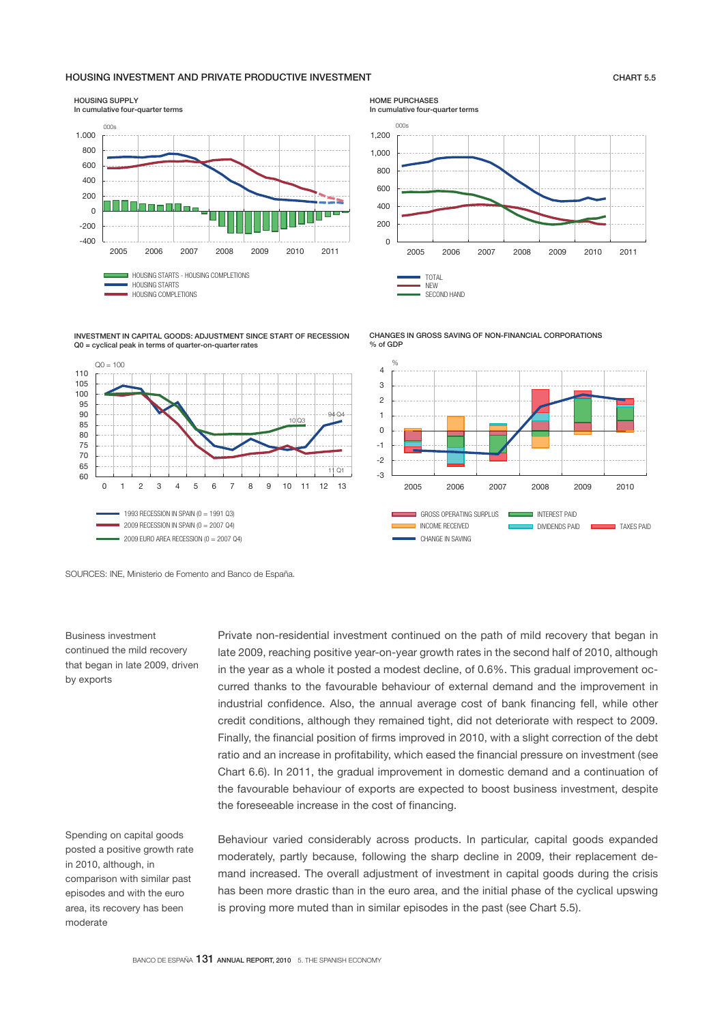# HOUSING INVESTMENT AND PRIVATE PRODUCTIVE INVESTMENT CHART 5.5



INVESTMENT IN CAPITAL GOODS: ADJUSTMENT SINCE START OF RECESSION Q0 = cyclical peak in terms of quarter-on-quarter rates



HOME PURCHASES In cumulative four-quarter terms







SOURCES: INE, Ministerio de Fomento and Banco de España.

Business investment continued the mild recovery that began in late 2009, driven by exports

Spending on capital goods posted a positive growth rate in 2010, although, in comparison with similar past episodes and with the euro area, its recovery has been moderate

Private non-residential investment continued on the path of mild recovery that began in late 2009, reaching positive year-on-year growth rates in the second half of 2010, although in the year as a whole it posted a modest decline, of 0.6%. This gradual improvement occurred thanks to the favourable behaviour of external demand and the improvement in industrial confidence. Also, the annual average cost of bank financing fell, while other credit conditions, although they remained tight, did not deteriorate with respect to 2009. Finally, the financial position of firms improved in 2010, with a slight correction of the debt ratio and an increase in profitability, which eased the financial pressure on investment (see Chart 6.6). In 2011, the gradual improvement in domestic demand and a continuation of the favourable behaviour of exports are expected to boost business investment, despite the foreseeable increase in the cost of financing.

Behaviour varied considerably across products. In particular, capital goods expanded moderately, partly because, following the sharp decline in 2009, their replacement demand increased. The overall adjustment of investment in capital goods during the crisis has been more drastic than in the euro area, and the initial phase of the cyclical upswing is proving more muted than in similar episodes in the past (see Chart 5.5).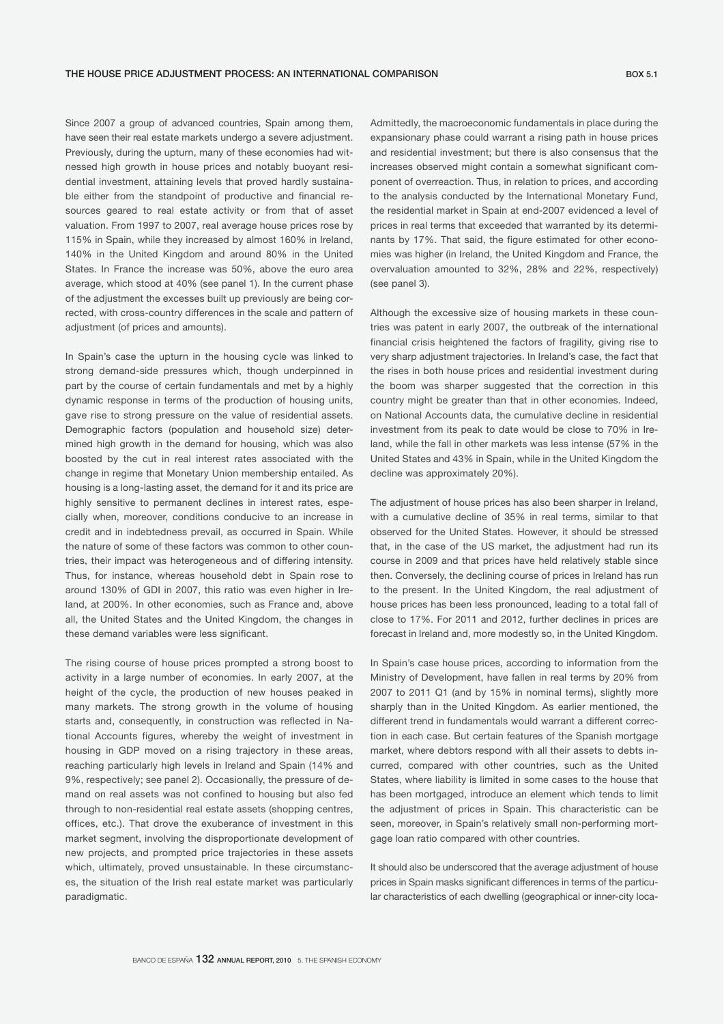Since 2007 a group of advanced countries, Spain among them, have seen their real estate markets undergo a severe adjustment. Previously, during the upturn, many of these economies had witnessed high growth in house prices and notably buoyant residential investment, attaining levels that proved hardly sustainable either from the standpoint of productive and financial resources geared to real estate activity or from that of asset valuation. From 1997 to 2007, real average house prices rose by 115% in Spain, while they increased by almost 160% in Ireland, 140% in the United Kingdom and around 80% in the United States. In France the increase was 50%, above the euro area average, which stood at 40% (see panel 1). In the current phase of the adjustment the excesses built up previously are being corrected, with cross-country differences in the scale and pattern of adjustment (of prices and amounts).

In Spain's case the upturn in the housing cycle was linked to strong demand-side pressures which, though underpinned in part by the course of certain fundamentals and met by a highly dynamic response in terms of the production of housing units, gave rise to strong pressure on the value of residential assets. Demographic factors (population and household size) determined high growth in the demand for housing, which was also boosted by the cut in real interest rates associated with the change in regime that Monetary Union membership entailed. As housing is a long-lasting asset, the demand for it and its price are highly sensitive to permanent declines in interest rates, especially when, moreover, conditions conducive to an increase in credit and in indebtedness prevail, as occurred in Spain. While the nature of some of these factors was common to other countries, their impact was heterogeneous and of differing intensity. Thus, for instance, whereas household debt in Spain rose to around 130% of GDI in 2007, this ratio was even higher in Ireland, at 200%. In other economies, such as France and, above all, the United States and the United Kingdom, the changes in these demand variables were less significant.

The rising course of house prices prompted a strong boost to activity in a large number of economies. In early 2007, at the height of the cycle, the production of new houses peaked in many markets. The strong growth in the volume of housing starts and, consequently, in construction was reflected in National Accounts figures, whereby the weight of investment in housing in GDP moved on a rising trajectory in these areas, reaching particularly high levels in Ireland and Spain (14% and 9%, respectively; see panel 2). Occasionally, the pressure of demand on real assets was not confined to housing but also fed through to non-residential real estate assets (shopping centres, offices, etc.). That drove the exuberance of investment in this market segment, involving the disproportionate development of new projects, and prompted price trajectories in these assets which, ultimately, proved unsustainable. In these circumstances, the situation of the Irish real estate market was particularly paradigmatic.

Admittedly, the macroeconomic fundamentals in place during the expansionary phase could warrant a rising path in house prices and residential investment; but there is also consensus that the increases observed might contain a somewhat significant component of overreaction. Thus, in relation to prices, and according to the analysis conducted by the International Monetary Fund, the residential market in Spain at end-2007 evidenced a level of prices in real terms that exceeded that warranted by its determinants by 17%. That said, the figure estimated for other economies was higher (in Ireland, the United Kingdom and France, the overvaluation amounted to 32%, 28% and 22%, respectively) (see panel 3).

Although the excessive size of housing markets in these countries was patent in early 2007, the outbreak of the international financial crisis heightened the factors of fragility, giving rise to very sharp adjustment trajectories. In Ireland's case, the fact that the rises in both house prices and residential investment during the boom was sharper suggested that the correction in this country might be greater than that in other economies. Indeed, on National Accounts data, the cumulative decline in residential investment from its peak to date would be close to 70% in Ireland, while the fall in other markets was less intense (57% in the United States and 43% in Spain, while in the United Kingdom the decline was approximately 20%).

The adjustment of house prices has also been sharper in Ireland, with a cumulative decline of 35% in real terms, similar to that observed for the United States. However, it should be stressed that, in the case of the US market, the adjustment had run its course in 2009 and that prices have held relatively stable since then. Conversely, the declining course of prices in Ireland has run to the present. In the United Kingdom, the real adjustment of house prices has been less pronounced, leading to a total fall of close to 17%. For 2011 and 2012, further declines in prices are forecast in Ireland and, more modestly so, in the United Kingdom.

In Spain's case house prices, according to information from the Ministry of Development, have fallen in real terms by 20% from 2007 to 2011 Q1 (and by 15% in nominal terms), slightly more sharply than in the United Kingdom. As earlier mentioned, the different trend in fundamentals would warrant a different correction in each case. But certain features of the Spanish mortgage market, where debtors respond with all their assets to debts incurred, compared with other countries, such as the United States, where liability is limited in some cases to the house that has been mortgaged, introduce an element which tends to limit the adjustment of prices in Spain. This characteristic can be seen, moreover, in Spain's relatively small non-performing mortgage loan ratio compared with other countries.

It should also be underscored that the average adjustment of house prices in Spain masks significant differences in terms of the particular characteristics of each dwelling (geographical or inner-city loca-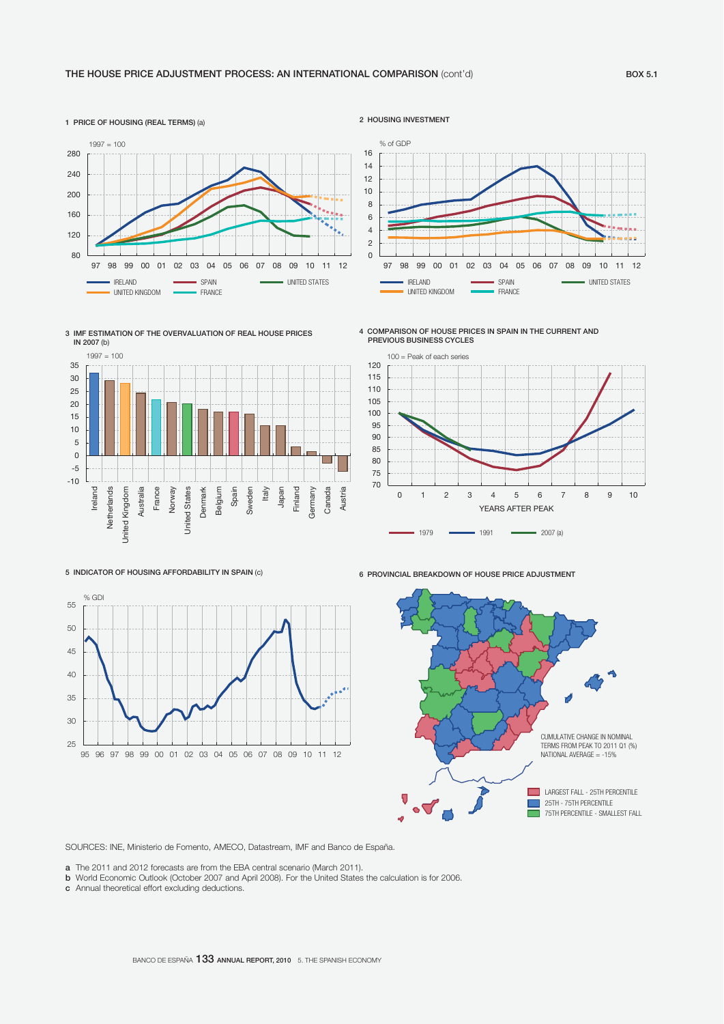





4 COMPARISON OF HOUSE PRICES IN SPAIN IN THE CURRENT AND PREVIOUS BUSINESS CYCLES

 $-$  UNITED KINGDOM

% of GDP



97 98 99 00 01 02 03 04 05 06 07 08 09 10 11 12 IRELAND **SPAIN** SPAIN SPAIN UNITED STATES

5 INDICATOR OF HOUSING AFFORDABILITY IN SPAIN (c)







SOURCES: INE, Ministerio de Fomento, AMECO, Datastream, IMF and Banco de España.

a The 2011 and 2012 forecasts are from the EBA central scenario (March 2011).

**b** World Economic Outlook (October 2007 and April 2008). For the United States the calculation is for 2006.

c Annual theoretical effort excluding deductions.

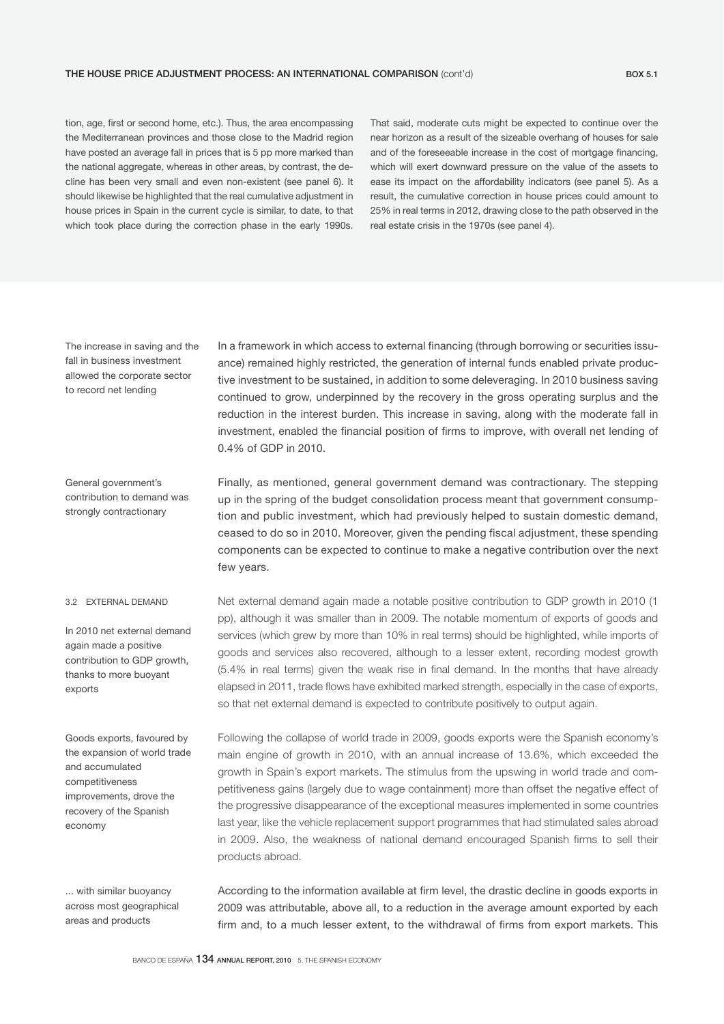### THE HOUSE PRICE ADJUSTMENT PROCESS: AN INTERNATIONAL COMPARISON (cont'd) BOX 5.1

tion, age, first or second home, etc.). Thus, the area encompassing the Mediterranean provinces and those close to the Madrid region have posted an average fall in prices that is 5 pp more marked than the national aggregate, whereas in other areas, by contrast, the decline has been very small and even non-existent (see panel 6). It should likewise be highlighted that the real cumulative adjustment in house prices in Spain in the current cycle is similar, to date, to that which took place during the correction phase in the early 1990s.

That said, moderate cuts might be expected to continue over the near horizon as a result of the sizeable overhang of houses for sale and of the foreseeable increase in the cost of mortgage financing, which will exert downward pressure on the value of the assets to ease its impact on the affordability indicators (see panel 5). As a result, the cumulative correction in house prices could amount to 25% in real terms in 2012, drawing close to the path observed in the real estate crisis in the 1970s (see panel 4).

The increase in saving and the fall in business investment allowed the corporate sector to record net lending

In a framework in which access to external financing (through borrowing or securities issuance) remained highly restricted, the generation of internal funds enabled private productive investment to be sustained, in addition to some deleveraging. In 2010 business saving continued to grow, underpinned by the recovery in the gross operating surplus and the reduction in the interest burden. This increase in saving, along with the moderate fall in investment, enabled the financial position of firms to improve, with overall net lending of 0.4% of GDP in 2010.

General government's contribution to demand was strongly contractionary

Finally, as mentioned, general government demand was contractionary. The stepping up in the spring of the budget consolidation process meant that government consumption and public investment, which had previously helped to sustain domestic demand, ceased to do so in 2010. Moreover, given the pending fiscal adjustment, these spending components can be expected to continue to make a negative contribution over the next few years.

#### 3.2 EXTERNAL DEMAND

In 2010 net external demand again made a positive contribution to GDP growth, thanks to more buoyant exports

Goods exports, favoured by the expansion of world trade and accumulated competitiveness improvements, drove the recovery of the Spanish economy

... with similar buoyancy across most geographical areas and products

Net external demand again made a notable positive contribution to GDP growth in 2010 (1 pp), although it was smaller than in 2009. The notable momentum of exports of goods and services (which grew by more than 10% in real terms) should be highlighted, while imports of goods and services also recovered, although to a lesser extent, recording modest growth (5.4% in real terms) given the weak rise in final demand. In the months that have already elapsed in 2011, trade flows have exhibited marked strength, especially in the case of exports, so that net external demand is expected to contribute positively to output again.

Following the collapse of world trade in 2009, goods exports were the Spanish economy's main engine of growth in 2010, with an annual increase of 13.6%, which exceeded the growth in Spain's export markets. The stimulus from the upswing in world trade and competitiveness gains (largely due to wage containment) more than offset the negative effect of the progressive disappearance of the exceptional measures implemented in some countries last year, like the vehicle replacement support programmes that had stimulated sales abroad in 2009. Also, the weakness of national demand encouraged Spanish firms to sell their products abroad.

According to the information available at firm level, the drastic decline in goods exports in 2009 was attributable, above all, to a reduction in the average amount exported by each firm and, to a much lesser extent, to the withdrawal of firms from export markets. This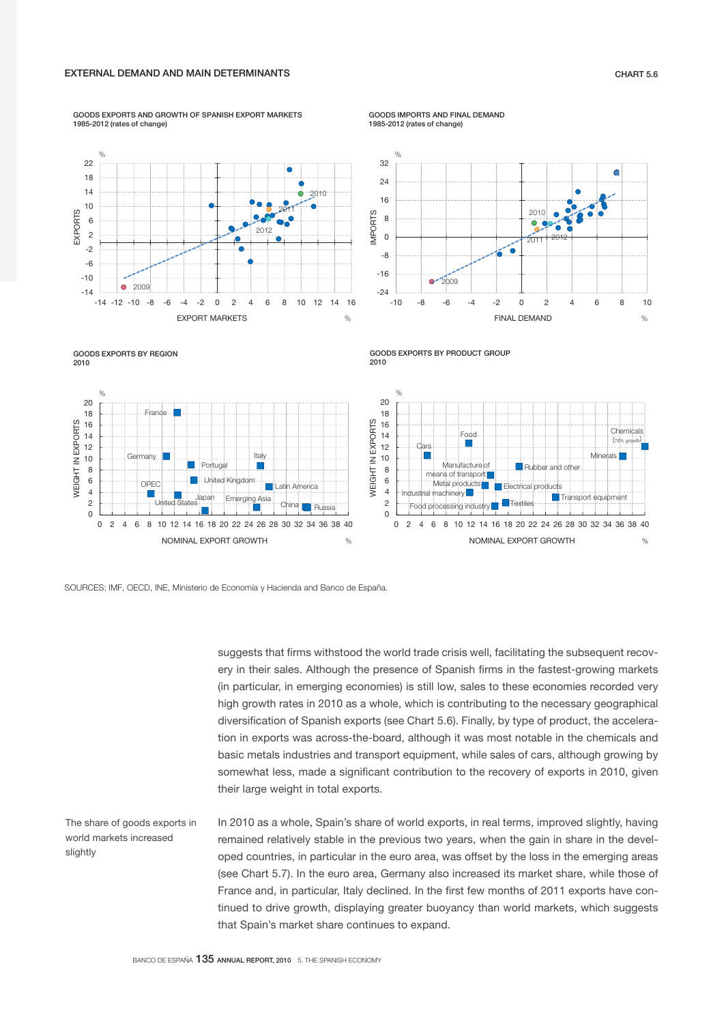GOODS EXPORTS AND GROWTH OF SPANISH EXPORT MARKETS 1985-2012 (rates of change)

GOODS IMPORTS AND FINAL DEMAND 1985-2012 (rates of change)

GOODS EXPORTS BY PRODUCT GROUP 2010







EXPORTS

EXPORTS





suggests that firms withstood the world trade crisis well, facilitating the subsequent recovery in their sales. Although the presence of Spanish firms in the fastest-growing markets (in particular, in emerging economies) is still low, sales to these economies recorded very high growth rates in 2010 as a whole, which is contributing to the necessary geographical diversification of Spanish exports (see Chart 5.6). Finally, by type of product, the acceleration in exports was across-the-board, although it was most notable in the chemicals and basic metals industries and transport equipment, while sales of cars, although growing by somewhat less, made a significant contribution to the recovery of exports in 2010, given their large weight in total exports.

In 2010 as a whole, Spain's share of world exports, in real terms, improved slightly, having remained relatively stable in the previous two years, when the gain in share in the developed countries, in particular in the euro area, was offset by the loss in the emerging areas (see Chart 5.7). In the euro area, Germany also increased its market share, while those of France and, in particular, Italy declined. In the first few months of 2011 exports have continued to drive growth, displaying greater buoyancy than world markets, which suggests that Spain's market share continues to expand. The share of goods exports in world markets increased slightly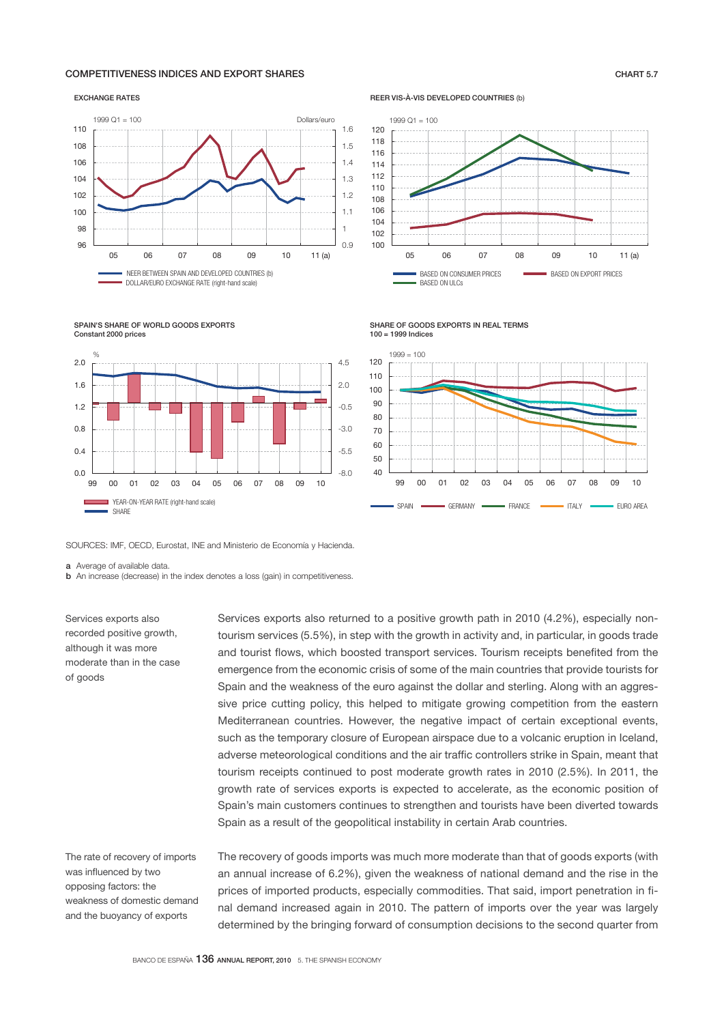# COMPETITIVENESS INDICES AND EXPORT SHARES CHART 5.7

#### EXCHANGE RATES



REER VIS-À-VIS DEVELOPED COUNTRIES (b)



SHARE OF GOODS EXPORTS IN REAL TERMS 100 = 1999 Indices



SPAIN'S SHARE OF WORLD GOODS EXPORTS Constant 2000 prices



SOURCES: IMF, OECD, Eurostat, INE and Ministerio de Economía y Hacienda.

a Average of available data.

**b** An increase (decrease) in the index denotes a loss (gain) in competitiveness.

Services exports also recorded positive growth, although it was more moderate than in the case of goods

Services exports also returned to a positive growth path in 2010 (4.2%), especially nontourism services (5.5%), in step with the growth in activity and, in particular, in goods trade and tourist flows, which boosted transport services. Tourism receipts benefited from the emergence from the economic crisis of some of the main countries that provide tourists for Spain and the weakness of the euro against the dollar and sterling. Along with an aggressive price cutting policy, this helped to mitigate growing competition from the eastern Mediterranean countries. However, the negative impact of certain exceptional events, such as the temporary closure of European airspace due to a volcanic eruption in Iceland, adverse meteorological conditions and the air traffic controllers strike in Spain, meant that tourism receipts continued to post moderate growth rates in 2010 (2.5%). In 2011, the growth rate of services exports is expected to accelerate, as the economic position of Spain's main customers continues to strengthen and tourists have been diverted towards Spain as a result of the geopolitical instability in certain Arab countries.

The rate of recovery of imports was influenced by two opposing factors: the weakness of domestic demand and the buoyancy of exports

The recovery of goods imports was much more moderate than that of goods exports (with an annual increase of 6.2%), given the weakness of national demand and the rise in the prices of imported products, especially commodities. That said, import penetration in final demand increased again in 2010. The pattern of imports over the year was largely determined by the bringing forward of consumption decisions to the second quarter from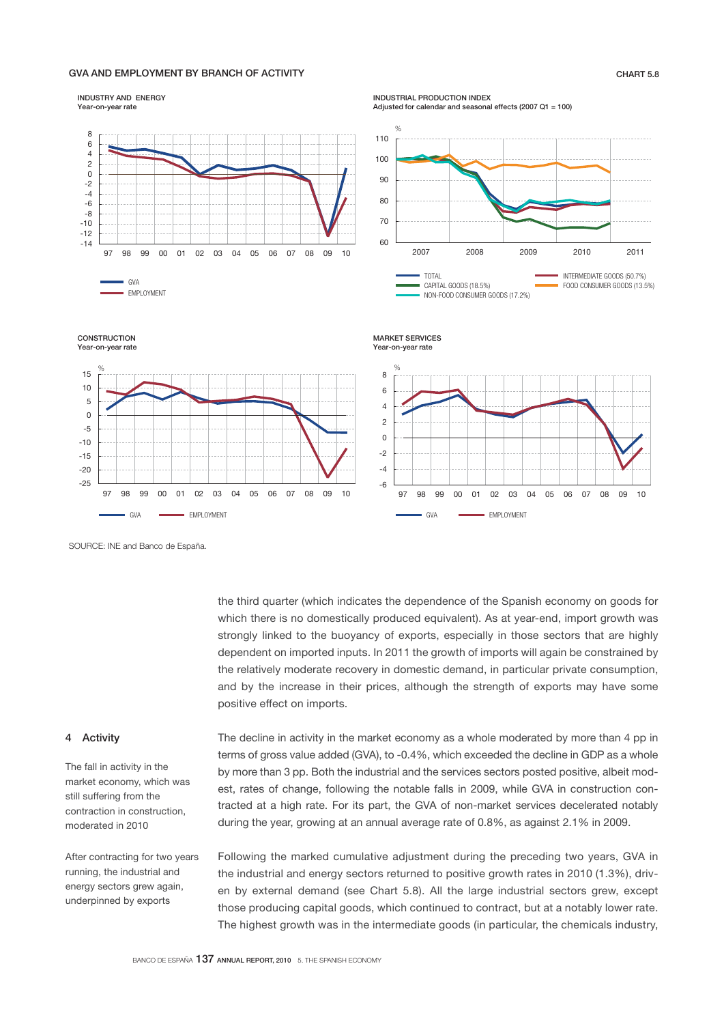# GVA AND EMPLOYMENT BY BRANCH OF ACTIVITY **CHART 5.8** CHART 5.8



SOURCE: INE and Banco de España.

GVA EMPLOYMENT

97 98 99 00 01 02 03 04 05 06 07 08 09 10

the third quarter (which indicates the dependence of the Spanish economy on goods for which there is no domestically produced equivalent). As at year-end, import growth was strongly linked to the buoyancy of exports, especially in those sectors that are highly dependent on imported inputs. In 2011 the growth of imports will again be constrained by the relatively moderate recovery in domestic demand, in particular private consumption, and by the increase in their prices, although the strength of exports may have some positive effect on imports.

97 98 99 00 01 02 03 04 05 06 07 08 09 10

GVA **EMPLOYMENT** 

# 4 Activity

The fall in activity in the market economy, which was still suffering from the contraction in construction, moderated in 2010

After contracting for two years running, the industrial and energy sectors grew again, underpinned by exports

The decline in activity in the market economy as a whole moderated by more than 4 pp in terms of gross value added (GVA), to -0.4%, which exceeded the decline in GDP as a whole by more than 3 pp. Both the industrial and the services sectors posted positive, albeit modest, rates of change, following the notable falls in 2009, while GVA in construction contracted at a high rate. For its part, the GVA of non-market services decelerated notably during the year, growing at an annual average rate of 0.8%, as against 2.1% in 2009.

Following the marked cumulative adjustment during the preceding two years, GVA in the industrial and energy sectors returned to positive growth rates in 2010 (1.3%), driven by external demand (see Chart 5.8). All the large industrial sectors grew, except those producing capital goods, which continued to contract, but at a notably lower rate. The highest growth was in the intermediate goods (in particular, the chemicals industry,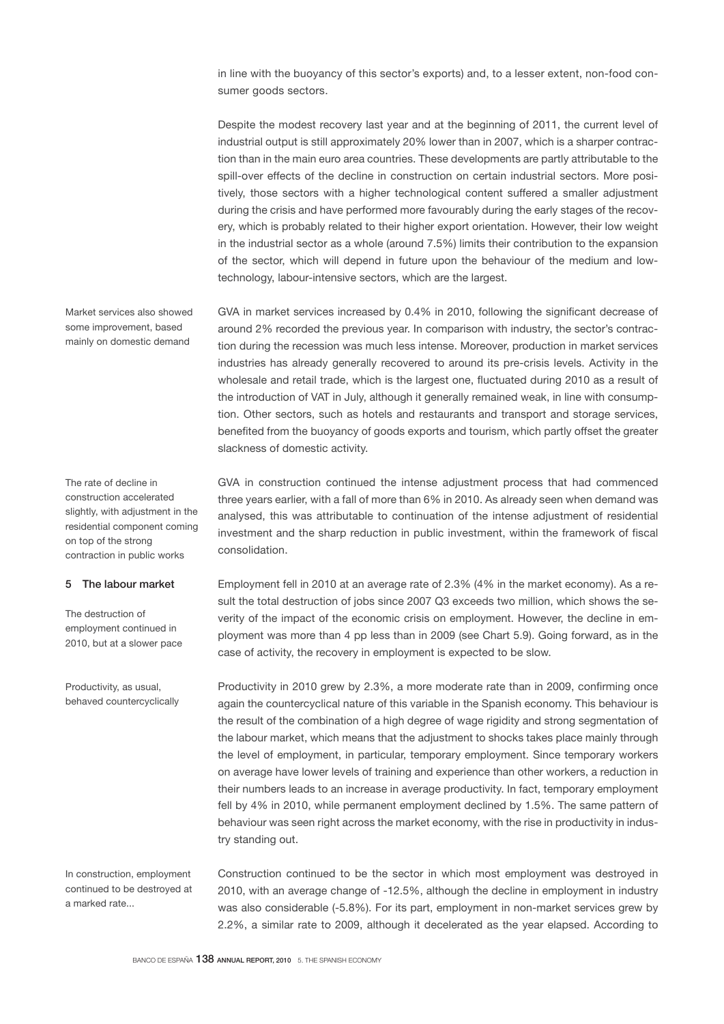in line with the buoyancy of this sector's exports) and, to a lesser extent, non-food consumer goods sectors.

Despite the modest recovery last year and at the beginning of 2011, the current level of industrial output is still approximately 20% lower than in 2007, which is a sharper contraction than in the main euro area countries. These developments are partly attributable to the spill-over effects of the decline in construction on certain industrial sectors. More positively, those sectors with a higher technological content suffered a smaller adjustment during the crisis and have performed more favourably during the early stages of the recovery, which is probably related to their higher export orientation. However, their low weight in the industrial sector as a whole (around 7.5%) limits their contribution to the expansion of the sector, which will depend in future upon the behaviour of the medium and lowtechnology, labour-intensive sectors, which are the largest.

GVA in market services increased by 0.4% in 2010, following the significant decrease of around 2% recorded the previous year. In comparison with industry, the sector's contraction during the recession was much less intense. Moreover, production in market services industries has already generally recovered to around its pre-crisis levels. Activity in the wholesale and retail trade, which is the largest one, fluctuated during 2010 as a result of the introduction of VAT in July, although it generally remained weak, in line with consumption. Other sectors, such as hotels and restaurants and transport and storage services, benefited from the buoyancy of goods exports and tourism, which partly offset the greater slackness of domestic activity.

GVA in construction continued the intense adjustment process that had commenced three years earlier, with a fall of more than 6% in 2010. As already seen when demand was analysed, this was attributable to continuation of the intense adjustment of residential investment and the sharp reduction in public investment, within the framework of fiscal consolidation.

Employment fell in 2010 at an average rate of 2.3% (4% in the market economy). As a result the total destruction of jobs since 2007 Q3 exceeds two million, which shows the severity of the impact of the economic crisis on employment. However, the decline in employment was more than 4 pp less than in 2009 (see Chart 5.9). Going forward, as in the case of activity, the recovery in employment is expected to be slow.

Productivity in 2010 grew by 2.3%, a more moderate rate than in 2009, confirming once again the countercyclical nature of this variable in the Spanish economy. This behaviour is the result of the combination of a high degree of wage rigidity and strong segmentation of the labour market, which means that the adjustment to shocks takes place mainly through the level of employment, in particular, temporary employment. Since temporary workers on average have lower levels of training and experience than other workers, a reduction in their numbers leads to an increase in average productivity. In fact, temporary employment fell by 4% in 2010, while permanent employment declined by 1.5%. The same pattern of behaviour was seen right across the market economy, with the rise in productivity in industry standing out.

Construction continued to be the sector in which most employment was destroyed in 2010, with an average change of -12.5%, although the decline in employment in industry was also considerable (-5.8%). For its part, employment in non-market services grew by 2.2%, a similar rate to 2009, although it decelerated as the year elapsed. According to

The rate of decline in construction accelerated slightly, with adjustment in the residential component coming on top of the strong contraction in public works

Market services also showed some improvement, based mainly on domestic demand

# 5 The labour market

The destruction of employment continued in 2010, but at a slower pace

Productivity, as usual, behaved countercyclically

In construction, employment continued to be destroyed at a marked rate...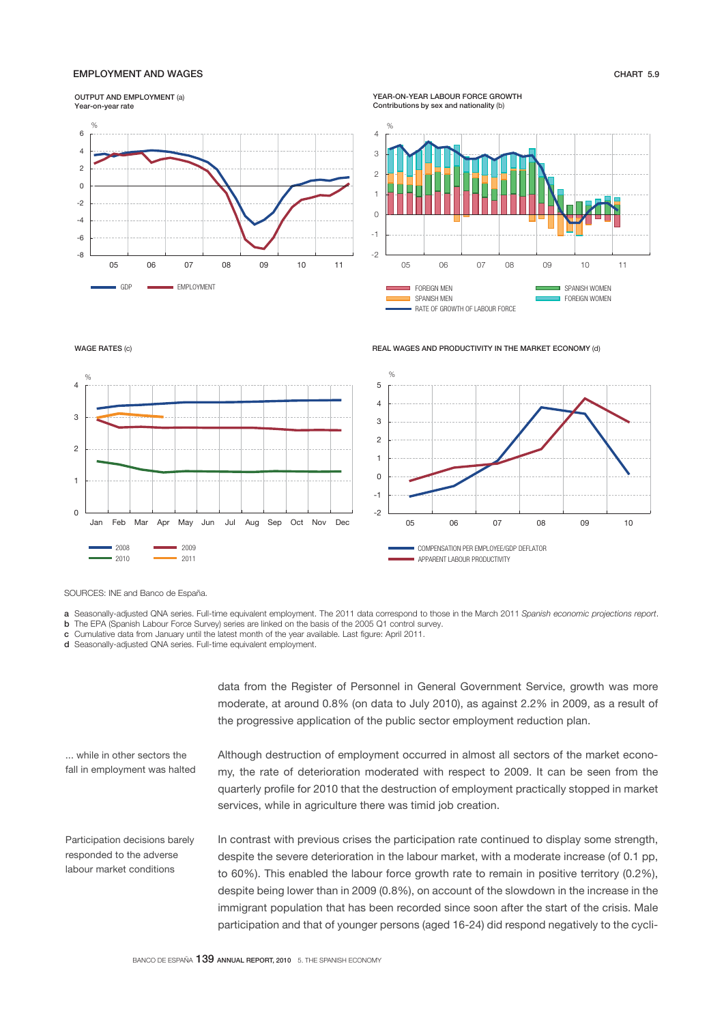# EMPLOYMENT AND WAGES CHART 5.9

#### OUTPUT AND EMPLOYMENT (a)



WAGE RATES (c)



YEAR-ON-YEAR LABOUR FORCE GROWTH Contributions by sex and nationality (b)



REAL WAGES AND PRODUCTIVITY IN THE MARKET ECONOMY (d)



SOURCES: INE and Banco de España.

- a Seasonally-adjusted QNA series. Full-time equivalent employment. The 2011 data correspond to those in the March 2011 *Spanish economic projections report*.
- b The EPA (Spanish Labour Force Survey) series are linked on the basis of the 2005 Q1 control survey.
- c Cumulative data from January until the latest month of the year available. Last figure: April 2011.

d Seasonally-adjusted QNA series. Full-time equivalent employment.

data from the Register of Personnel in General Government Service, growth was more moderate, at around 0.8% (on data to July 2010), as against 2.2% in 2009, as a result of the progressive application of the public sector employment reduction plan.

... while in other sectors the fall in employment was halted

Participation decisions barely responded to the adverse labour market conditions

Although destruction of employment occurred in almost all sectors of the market economy, the rate of deterioration moderated with respect to 2009. It can be seen from the quarterly profile for 2010 that the destruction of employment practically stopped in market services, while in agriculture there was timid job creation.

In contrast with previous crises the participation rate continued to display some strength, despite the severe deterioration in the labour market, with a moderate increase (of 0.1 pp, to 60%). This enabled the labour force growth rate to remain in positive territory (0.2%), despite being lower than in 2009 (0.8%), on account of the slowdown in the increase in the immigrant population that has been recorded since soon after the start of the crisis. Male participation and that of younger persons (aged 16-24) did respond negatively to the cycli-

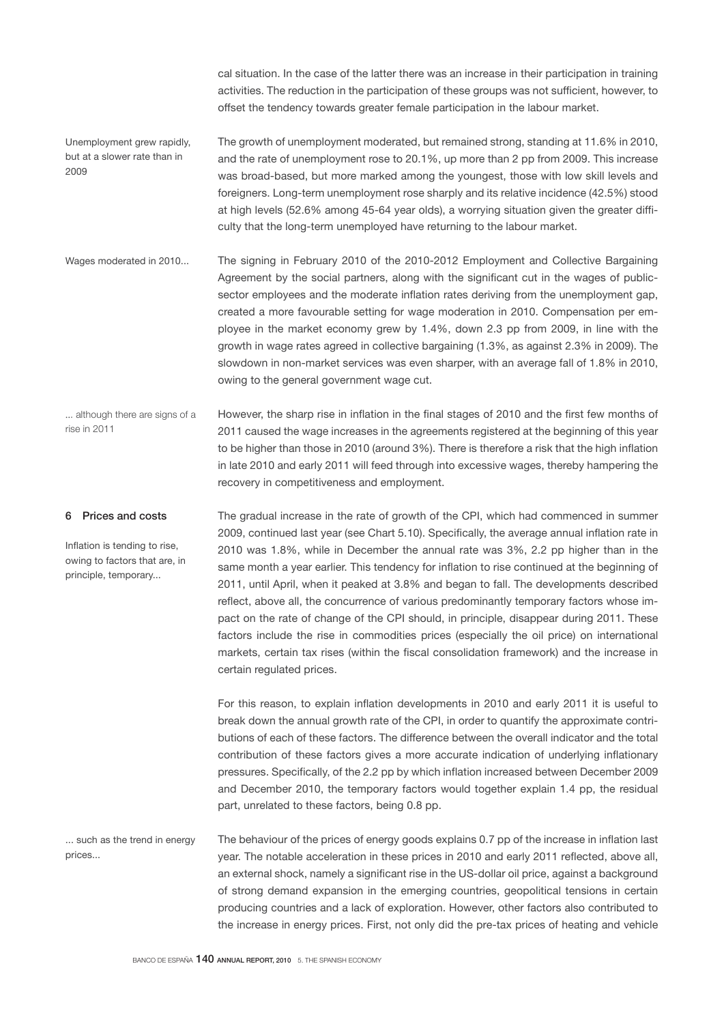cal situation. In the case of the latter there was an increase in their participation in training activities. The reduction in the participation of these groups was not sufficient, however, to offset the tendency towards greater female participation in the labour market.

The growth of unemployment moderated, but remained strong, standing at 11.6% in 2010, and the rate of unemployment rose to 20.1%, up more than 2 pp from 2009. This increase was broad-based, but more marked among the youngest, those with low skill levels and foreigners. Long-term unemployment rose sharply and its relative incidence (42.5%) stood at high levels (52.6% among 45-64 year olds), a worrying situation given the greater diffi-Unemployment grew rapidly, but at a slower rate than in 2009

culty that the long-term unemployed have returning to the labour market.

The signing in February 2010 of the 2010-2012 Employment and Collective Bargaining Agreement by the social partners, along with the significant cut in the wages of publicsector employees and the moderate inflation rates deriving from the unemployment gap, created a more favourable setting for wage moderation in 2010. Compensation per employee in the market economy grew by 1.4%, down 2.3 pp from 2009, in line with the growth in wage rates agreed in collective bargaining (1.3%, as against 2.3% in 2009). The slowdown in non-market services was even sharper, with an average fall of 1.8% in 2010, owing to the general government wage cut. Wages moderated in 2010...

However, the sharp rise in inflation in the final stages of 2010 and the first few months of 2011 caused the wage increases in the agreements registered at the beginning of this year to be higher than those in 2010 (around 3%). There is therefore a risk that the high inflation in late 2010 and early 2011 will feed through into excessive wages, thereby hampering the recovery in competitiveness and employment. ... although there are signs of a rise in 2011

6 Prices and costs

Inflation is tending to rise, owing to factors that are, in principle, temporary...

The gradual increase in the rate of growth of the CPI, which had commenced in summer 2009, continued last year (see Chart 5.10). Specifically, the average annual inflation rate in 2010 was 1.8%, while in December the annual rate was 3%, 2.2 pp higher than in the same month a year earlier. This tendency for inflation to rise continued at the beginning of 2011, until April, when it peaked at 3.8% and began to fall. The developments described reflect, above all, the concurrence of various predominantly temporary factors whose impact on the rate of change of the CPI should, in principle, disappear during 2011. These factors include the rise in commodities prices (especially the oil price) on international markets, certain tax rises (within the fiscal consolidation framework) and the increase in certain regulated prices.

For this reason, to explain inflation developments in 2010 and early 2011 it is useful to break down the annual growth rate of the CPI, in order to quantify the approximate contributions of each of these factors. The difference between the overall indicator and the total contribution of these factors gives a more accurate indication of underlying inflationary pressures. Specifically, of the 2.2 pp by which inflation increased between December 2009 and December 2010, the temporary factors would together explain 1.4 pp, the residual part, unrelated to these factors, being 0.8 pp.

The behaviour of the prices of energy goods explains 0.7 pp of the increase in inflation last year. The notable acceleration in these prices in 2010 and early 2011 reflected, above all, an external shock, namely a significant rise in the US-dollar oil price, against a background of strong demand expansion in the emerging countries, geopolitical tensions in certain producing countries and a lack of exploration. However, other factors also contributed to the increase in energy prices. First, not only did the pre-tax prices of heating and vehicle ... such as the trend in energy prices...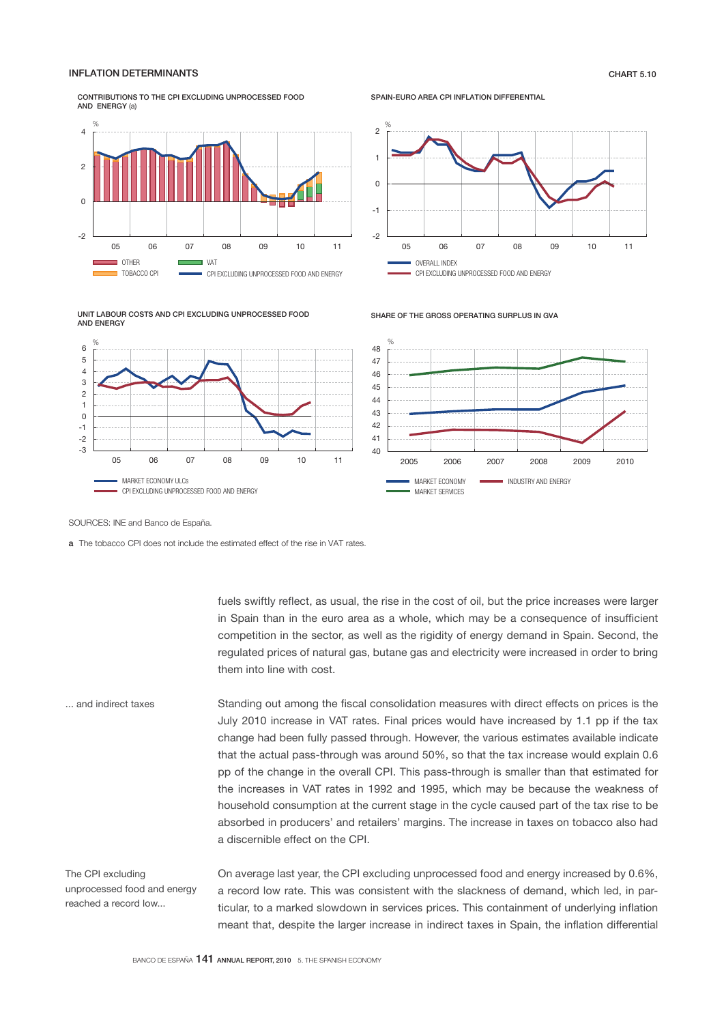# INFLATION DETERMINANTS CHART 5.10

CONTRIBUTIONS TO THE CPI EXCLUDING UNPROCESSED FOOD AND ENERGY (a)



SPAIN-EURO AREA CPI INFLATION DIFFERENTIAL



UNIT LABOUR COSTS AND CPI EXCLUDING UNPROCESSED FOOD AND ENERGY



SHARE OF THE GROSS OPERATING SURPLUS IN GVA



SOURCES: INE and Banco de España.

a The tobacco CPI does not include the estimated effect of the rise in VAT rates.

fuels swiftly reflect, as usual, the rise in the cost of oil, but the price increases were larger in Spain than in the euro area as a whole, which may be a consequence of insufficient competition in the sector, as well as the rigidity of energy demand in Spain. Second, the regulated prices of natural gas, butane gas and electricity were increased in order to bring them into line with cost.

Standing out among the fiscal consolidation measures with direct effects on prices is the July 2010 increase in VAT rates. Final prices would have increased by 1.1 pp if the tax change had been fully passed through. However, the various estimates available indicate that the actual pass-through was around 50%, so that the tax increase would explain 0.6 pp of the change in the overall CPI. This pass-through is smaller than that estimated for the increases in VAT rates in 1992 and 1995, which may be because the weakness of household consumption at the current stage in the cycle caused part of the tax rise to be absorbed in producers' and retailers' margins. The increase in taxes on tobacco also had a discernible effect on the CPI. ... and indirect taxes

The CPI excluding unprocessed food and energy reached a record low...

On average last year, the CPI excluding unprocessed food and energy increased by 0.6%, a record low rate. This was consistent with the slackness of demand, which led, in particular, to a marked slowdown in services prices. This containment of underlying inflation meant that, despite the larger increase in indirect taxes in Spain, the inflation differential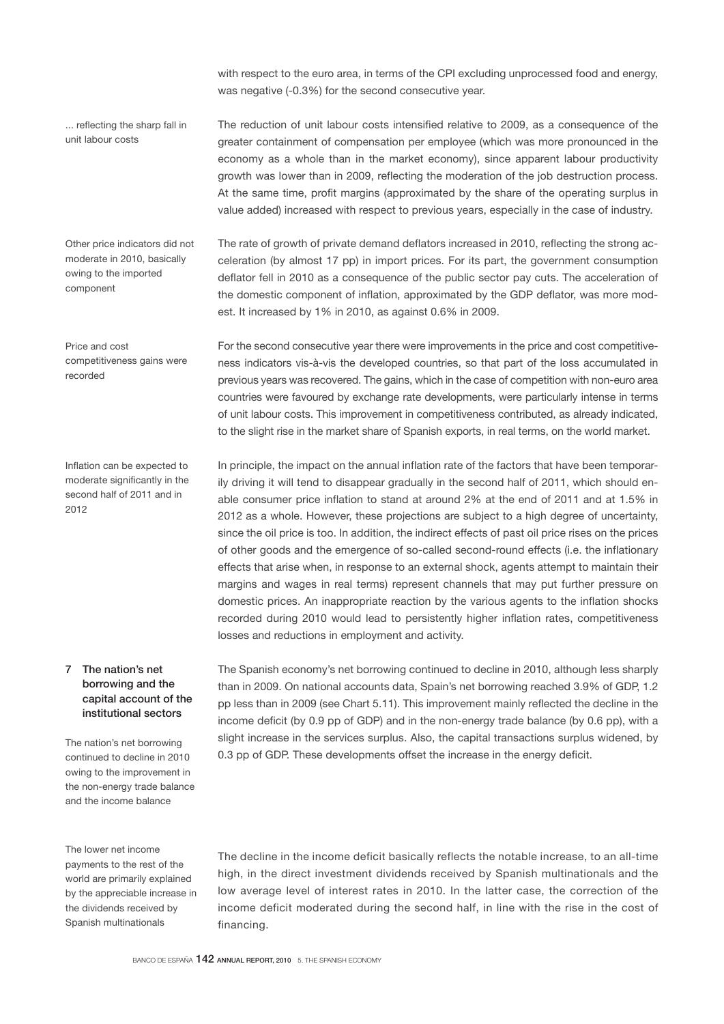with respect to the euro area, in terms of the CPI excluding unprocessed food and energy, was negative (-0.3%) for the second consecutive year.

... reflecting the sharp fall in unit labour costs

Other price indicators did not moderate in 2010, basically owing to the imported component

Price and cost competitiveness gains were recorded

Inflation can be expected to moderate significantly in the second half of 2011 and in 2012

# 7 The nation's net borrowing and the capital account of the institutional sectors

The nation's net borrowing continued to decline in 2010 owing to the improvement in the non-energy trade balance and the income balance

The lower net income payments to the rest of the world are primarily explained by the appreciable increase in the dividends received by Spanish multinationals

The reduction of unit labour costs intensified relative to 2009, as a consequence of the greater containment of compensation per employee (which was more pronounced in the economy as a whole than in the market economy), since apparent labour productivity growth was lower than in 2009, reflecting the moderation of the job destruction process. At the same time, profit margins (approximated by the share of the operating surplus in value added) increased with respect to previous years, especially in the case of industry.

The rate of growth of private demand deflators increased in 2010, reflecting the strong acceleration (by almost 17 pp) in import prices. For its part, the government consumption deflator fell in 2010 as a consequence of the public sector pay cuts. The acceleration of the domestic component of inflation, approximated by the GDP deflator, was more modest. It increased by 1% in 2010, as against 0.6% in 2009.

For the second consecutive year there were improvements in the price and cost competitiveness indicators vis-à-vis the developed countries, so that part of the loss accumulated in previous years was recovered. The gains, which in the case of competition with non-euro area countries were favoured by exchange rate developments, were particularly intense in terms of unit labour costs. This improvement in competitiveness contributed, as already indicated, to the slight rise in the market share of Spanish exports, in real terms, on the world market.

In principle, the impact on the annual inflation rate of the factors that have been temporarily driving it will tend to disappear gradually in the second half of 2011, which should enable consumer price inflation to stand at around 2% at the end of 2011 and at 1.5% in 2012 as a whole. However, these projections are subject to a high degree of uncertainty, since the oil price is too. In addition, the indirect effects of past oil price rises on the prices of other goods and the emergence of so-called second-round effects (i.e. the inflationary effects that arise when, in response to an external shock, agents attempt to maintain their margins and wages in real terms) represent channels that may put further pressure on domestic prices. An inappropriate reaction by the various agents to the inflation shocks recorded during 2010 would lead to persistently higher inflation rates, competitiveness losses and reductions in employment and activity.

The Spanish economy's net borrowing continued to decline in 2010, although less sharply than in 2009. On national accounts data, Spain's net borrowing reached 3.9% of GDP, 1.2 pp less than in 2009 (see Chart 5.11). This improvement mainly reflected the decline in the income deficit (by 0.9 pp of GDP) and in the non-energy trade balance (by 0.6 pp), with a slight increase in the services surplus. Also, the capital transactions surplus widened, by 0.3 pp of GDP. These developments offset the increase in the energy deficit.

The decline in the income deficit basically reflects the notable increase, to an all-time high, in the direct investment dividends received by Spanish multinationals and the low average level of interest rates in 2010. In the latter case, the correction of the income deficit moderated during the second half, in line with the rise in the cost of financing.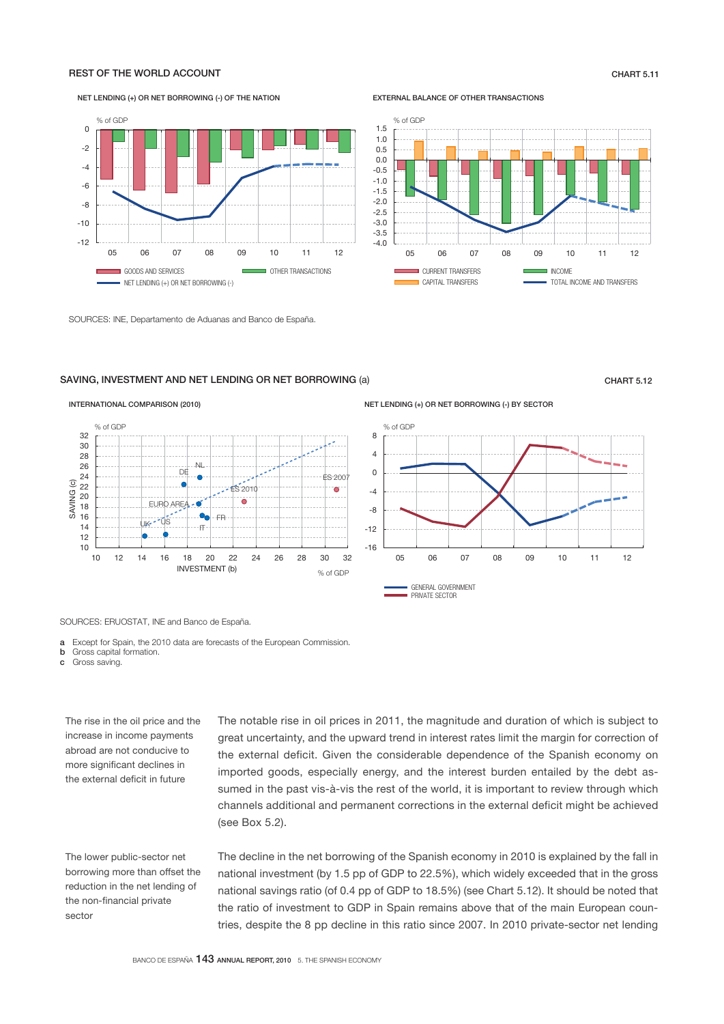# REST OF THE WORLD ACCOUNT CHART 5.11

ī

#### NET LENDING (+) OR NET BORROWING (-) OF THE NATION

#### EXTERNAL BALANCE OF OTHER TRANSACTIONS

% of GDP



SOURCES: INE, Departamento de Aduanas and Banco de España.

# SAVING, INVESTMENT AND NET LENDING OR NET BORROWING (a) CHART 5.12



NET LENDING (+) OR NET BORROWING (-) BY SECTOR



05 06 07 08 09 10 11 12

CAPITAL TRANSFERS **TOTAL INCOME AND TRANSFERS** 

CURRENT TRANSFERS **INCOME** 

SOURCES: ERUOSTAT, INE and Banco de España.

INTERNATIONAL COMPARISON (2010)

a Except for Spain, the 2010 data are forecasts of the European Commission.

**b** Gross capital formation.

c Gross saving.

The rise in the oil price and the increase in income payments abroad are not conducive to more significant declines in the external deficit in future

The lower public-sector net borrowing more than offset the reduction in the net lending of the non-financial private sector

The notable rise in oil prices in 2011, the magnitude and duration of which is subject to great uncertainty, and the upward trend in interest rates limit the margin for correction of the external deficit. Given the considerable dependence of the Spanish economy on imported goods, especially energy, and the interest burden entailed by the debt assumed in the past vis-à-vis the rest of the world, it is important to review through which channels additional and permanent corrections in the external deficit might be achieved (see Box 5.2).

The decline in the net borrowing of the Spanish economy in 2010 is explained by the fall in national investment (by 1.5 pp of GDP to 22.5%), which widely exceeded that in the gross national savings ratio (of 0.4 pp of GDP to 18.5%) (see Chart 5.12). It should be noted that the ratio of investment to GDP in Spain remains above that of the main European countries, despite the 8 pp decline in this ratio since 2007. In 2010 private-sector net lending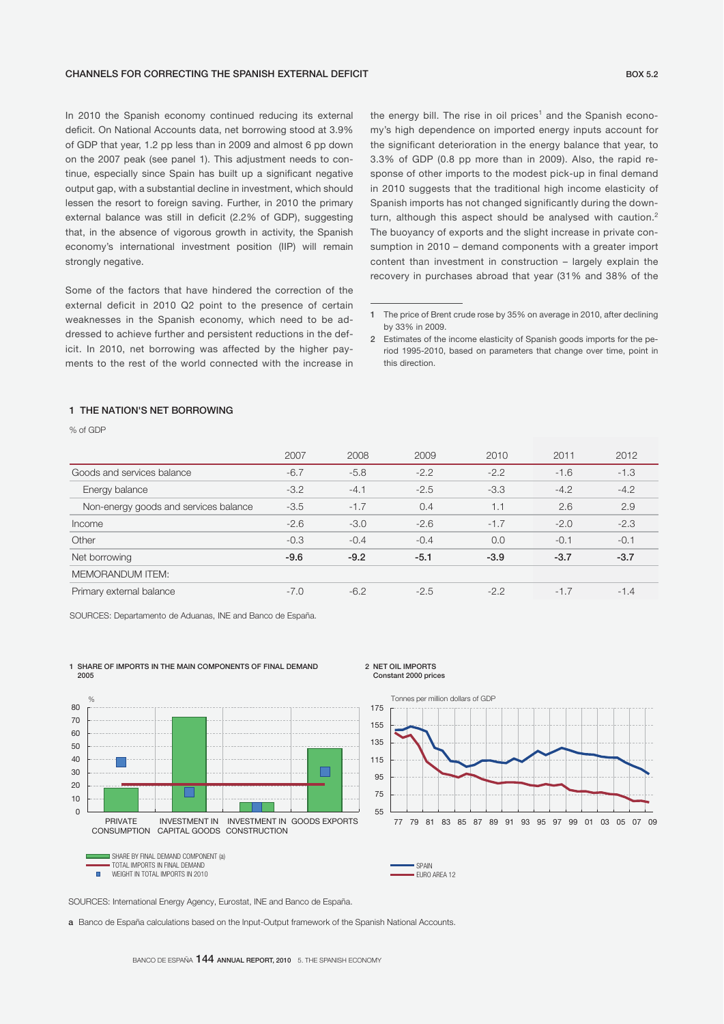### CHANNELS FOR CORRECTING THE SPANISH EXTERNAL DEFICIT **SPANISH CONSTANTS AND SEX SEX SEX SEX SEX SEX SPANISH CONSTANTS AND SEX SPANISH CONSTANTS AND SEX SPANISH CONSTANTS AND SEX SPANISH CONSTANTS AND SEX SPANISH CONSTANTS**

In 2010 the Spanish economy continued reducing its external deficit. On National Accounts data, net borrowing stood at 3.9% of GDP that year, 1.2 pp less than in 2009 and almost 6 pp down on the 2007 peak (see panel 1). This adjustment needs to continue, especially since Spain has built up a significant negative output gap, with a substantial decline in investment, which should lessen the resort to foreign saving. Further, in 2010 the primary external balance was still in deficit (2.2% of GDP), suggesting that, in the absence of vigorous growth in activity, the Spanish economy's international investment position (IIP) will remain strongly negative.

Some of the factors that have hindered the correction of the external deficit in 2010 Q2 point to the presence of certain weaknesses in the Spanish economy, which need to be addressed to achieve further and persistent reductions in the deficit. In 2010, net borrowing was affected by the higher payments to the rest of the world connected with the increase in

the energy bill. The rise in oil prices<sup>1</sup> and the Spanish economy's high dependence on imported energy inputs account for the significant deterioration in the energy balance that year, to 3.3% of GDP (0.8 pp more than in 2009). Also, the rapid response of other imports to the modest pick-up in final demand in 2010 suggests that the traditional high income elasticity of Spanish imports has not changed significantly during the downturn, although this aspect should be analysed with caution.<sup>2</sup> The buoyancy of exports and the slight increase in private consumption in 2010 – demand components with a greater import content than investment in construction – largely explain the recovery in purchases abroad that year (31% and 38% of the

# 1 THE NATION'S NET BORROWING

% of GDP

|                                       | 2007   | 2008   | 2009   | 2010   | 2011   | 2012   |
|---------------------------------------|--------|--------|--------|--------|--------|--------|
| Goods and services balance            | $-6.7$ | $-5.8$ | $-2.2$ | $-2.2$ | $-1.6$ | $-1.3$ |
| Energy balance                        | $-3.2$ | $-4.1$ | $-2.5$ | $-3.3$ | $-4.2$ | $-4.2$ |
| Non-energy goods and services balance | $-3.5$ | $-1.7$ | 0.4    | 1.1    | 2.6    | 2.9    |
| Income                                | $-2.6$ | $-3.0$ | $-2.6$ | $-1.7$ | $-2.0$ | $-2.3$ |
| Other                                 | $-0.3$ | $-0.4$ | $-0.4$ | 0.0    | $-0.1$ | $-0.1$ |
| Net borrowing                         | $-9.6$ | $-9.2$ | $-5.1$ | $-3.9$ | $-3.7$ | $-3.7$ |
| <b>MEMORANDUM ITEM:</b>               |        |        |        |        |        |        |
| Primary external balance              | $-7.0$ | $-6.2$ | $-2.5$ | $-2.2$ | $-1.7$ | $-1.4$ |

SOURCES: Departamento de Aduanas, INE and Banco de España.



#### 1 SHARE OF IMPORTS IN THE MAIN COMPONENTS OF FINAL DEMAND 2005

2 NET OIL IMPORTS Constant 2000 prices



SOURCES: International Energy Agency, Eurostat, INE and Banco de España.

a Banco de España calculations based on the Input-Output framework of the Spanish National Accounts.

<sup>1</sup> The price of Brent crude rose by 35% on average in 2010, after declining by 33% in 2009.

<sup>2</sup> Estimates of the income elasticity of Spanish goods imports for the period 1995-2010, based on parameters that change over time, point in this direction.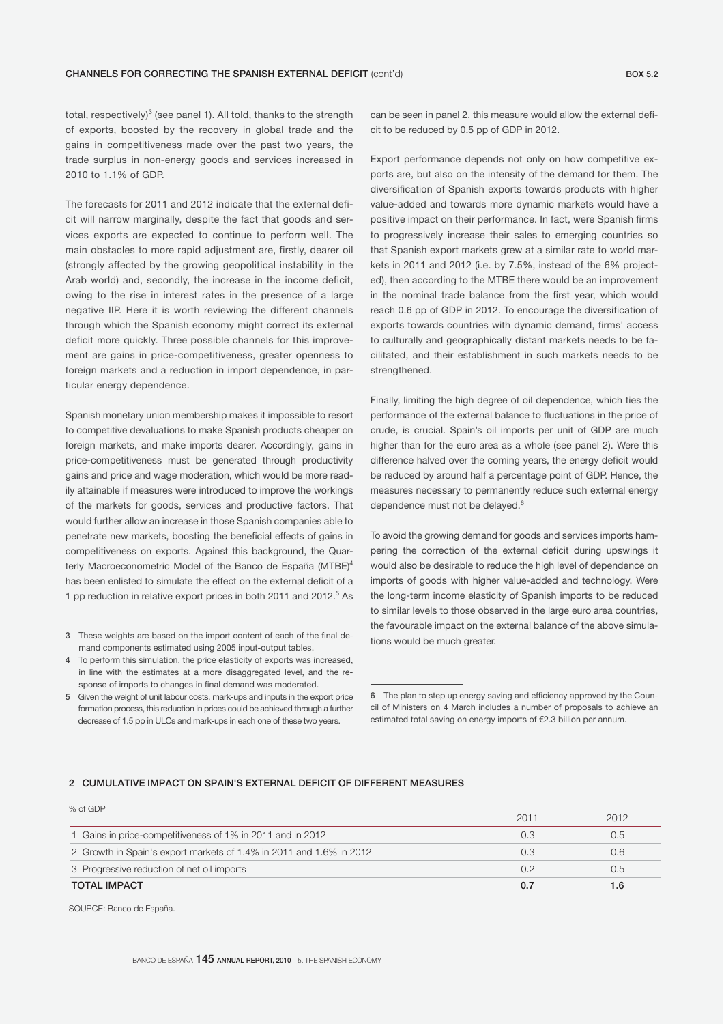total, respectively) $^3$  (see panel 1). All told, thanks to the strength of exports, boosted by the recovery in global trade and the gains in competitiveness made over the past two years, the trade surplus in non-energy goods and services increased in 2010 to 1.1% of GDP.

The forecasts for 2011 and 2012 indicate that the external deficit will narrow marginally, despite the fact that goods and services exports are expected to continue to perform well. The main obstacles to more rapid adjustment are, firstly, dearer oil (strongly affected by the growing geopolitical instability in the Arab world) and, secondly, the increase in the income deficit, owing to the rise in interest rates in the presence of a large negative IIP. Here it is worth reviewing the different channels through which the Spanish economy might correct its external deficit more quickly. Three possible channels for this improvement are gains in price-competitiveness, greater openness to foreign markets and a reduction in import dependence, in particular energy dependence.

Spanish monetary union membership makes it impossible to resort to competitive devaluations to make Spanish products cheaper on foreign markets, and make imports dearer. Accordingly, gains in price-competitiveness must be generated through productivity gains and price and wage moderation, which would be more readily attainable if measures were introduced to improve the workings of the markets for goods, services and productive factors. That would further allow an increase in those Spanish companies able to penetrate new markets, boosting the beneficial effects of gains in competitiveness on exports. Against this background, the Quarterly Macroeconometric Model of the Banco de España (MTBE)<sup>4</sup> has been enlisted to simulate the effect on the external deficit of a 1 pp reduction in relative export prices in both 2011 and 2012.<sup>5</sup> As

can be seen in panel 2, this measure would allow the external deficit to be reduced by 0.5 pp of GDP in 2012.

Export performance depends not only on how competitive exports are, but also on the intensity of the demand for them. The diversification of Spanish exports towards products with higher value-added and towards more dynamic markets would have a positive impact on their performance. In fact, were Spanish firms to progressively increase their sales to emerging countries so that Spanish export markets grew at a similar rate to world markets in 2011 and 2012 (i.e. by 7.5%, instead of the 6% projected), then according to the MTBE there would be an improvement in the nominal trade balance from the first year, which would reach 0.6 pp of GDP in 2012. To encourage the diversification of exports towards countries with dynamic demand, firms' access to culturally and geographically distant markets needs to be facilitated, and their establishment in such markets needs to be strengthened.

Finally, limiting the high degree of oil dependence, which ties the performance of the external balance to fluctuations in the price of crude, is crucial. Spain's oil imports per unit of GDP are much higher than for the euro area as a whole (see panel 2). Were this difference halved over the coming years, the energy deficit would be reduced by around half a percentage point of GDP. Hence, the measures necessary to permanently reduce such external energy dependence must not be delayed.<sup>6</sup>

To avoid the growing demand for goods and services imports hampering the correction of the external deficit during upswings it would also be desirable to reduce the high level of dependence on imports of goods with higher value-added and technology. Were the long-term income elasticity of Spanish imports to be reduced to similar levels to those observed in the large euro area countries, the favourable impact on the external balance of the above simulations would be much greater.

# 2 CUMULATIVE IMPACT ON SPAIN'S EXTERNAL DEFICIT OF DIFFERENT MEASURES

| 70 UI GIJP                                                          | 2011 | 2012 |
|---------------------------------------------------------------------|------|------|
| 1 Gains in price-competitiveness of 1% in 2011 and in 2012          | 0.3  | 0.5  |
| 2 Growth in Spain's export markets of 1.4% in 2011 and 1.6% in 2012 | 0.3  | 0.6  |
| 3 Progressive reduction of net oil imports                          | 0.2  | 0.5  |
| <b>TOTAL IMPACT</b>                                                 | 0.7  |      |

SOURCE: Banco de España.

 $\alpha$  cont

<sup>3</sup> These weights are based on the import content of each of the final demand components estimated using 2005 input-output tables.

<sup>4</sup> To perform this simulation, the price elasticity of exports was increased, in line with the estimates at a more disaggregated level, and the response of imports to changes in final demand was moderated.

<sup>5</sup> Given the weight of unit labour costs, mark-ups and inputs in the export price formation process, this reduction in prices could be achieved through a further decrease of 1.5 pp in ULCs and mark-ups in each one of these two years.

<sup>6</sup> The plan to step up energy saving and efficiency approved by the Council of Ministers on 4 March includes a number of proposals to achieve an estimated total saving on energy imports of €2.3 billion per annum.